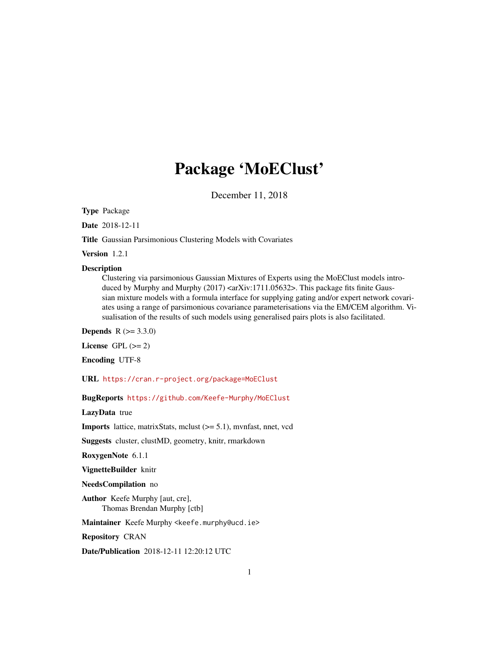# Package 'MoEClust'

December 11, 2018

<span id="page-0-0"></span>Type Package

Date 2018-12-11

Title Gaussian Parsimonious Clustering Models with Covariates

Version 1.2.1

#### Description

Clustering via parsimonious Gaussian Mixtures of Experts using the MoEClust models introduced by Murphy and Murphy  $(2017)$  <arXiv:1711.05632>. This package fits finite Gaussian mixture models with a formula interface for supplying gating and/or expert network covariates using a range of parsimonious covariance parameterisations via the EM/CEM algorithm. Visualisation of the results of such models using generalised pairs plots is also facilitated.

**Depends** R  $(>= 3.3.0)$ 

License GPL  $(>= 2)$ 

Encoding UTF-8

URL <https://cran.r-project.org/package=MoEClust>

BugReports <https://github.com/Keefe-Murphy/MoEClust>

LazyData true

Imports lattice, matrixStats, mclust (>= 5.1), mvnfast, nnet, vcd

Suggests cluster, clustMD, geometry, knitr, rmarkdown

RoxygenNote 6.1.1

VignetteBuilder knitr

NeedsCompilation no

Author Keefe Murphy [aut, cre], Thomas Brendan Murphy [ctb]

Maintainer Keefe Murphy <keefe.murphy@ucd.ie>

Repository CRAN

Date/Publication 2018-12-11 12:20:12 UTC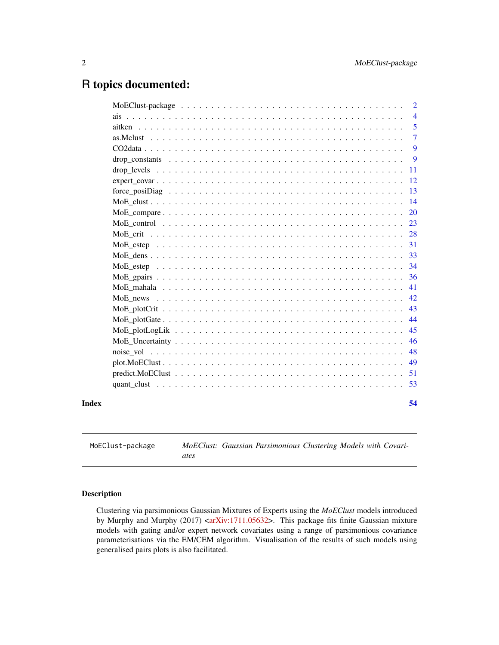## <span id="page-1-0"></span>R topics documented:

|       | $\overline{2}$ |
|-------|----------------|
|       | $\overline{4}$ |
|       | 5              |
|       | $\overline{7}$ |
|       | 9              |
|       | 9              |
|       | 11             |
|       | -12            |
|       | 13             |
|       |                |
|       |                |
|       |                |
|       |                |
|       |                |
|       |                |
|       |                |
|       |                |
|       |                |
|       |                |
|       |                |
|       | 44             |
|       | 45             |
|       | 46             |
|       | 48             |
|       | 49             |
|       |                |
|       |                |
| Index | 54             |

MoEClust-package *MoEClust: Gaussian Parsimonious Clustering Models with Covariates*

### Description

Clustering via parsimonious Gaussian Mixtures of Experts using the *MoEClust* models introduced by Murphy and Murphy (2017) [<arXiv:1711.05632>](https://arxiv.org/abs/1711.05632). This package fits finite Gaussian mixture models with gating and/or expert network covariates using a range of parsimonious covariance parameterisations via the EM/CEM algorithm. Visualisation of the results of such models using generalised pairs plots is also facilitated.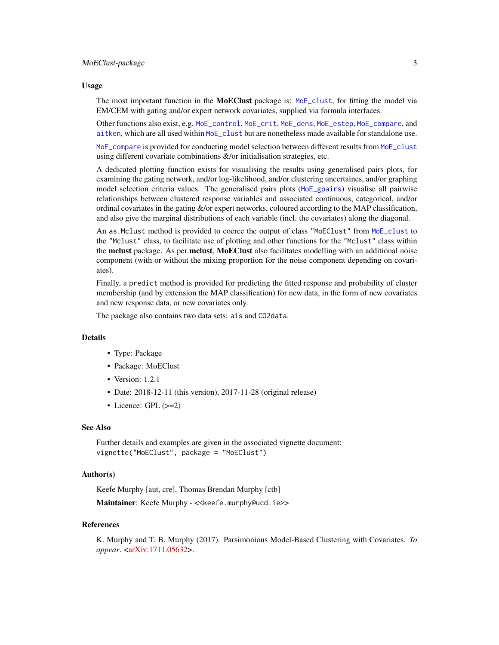#### <span id="page-2-0"></span>Usage

The most important function in the **MoEClust** package is: [MoE\\_clust](#page-13-1), for fitting the model via EM/CEM with gating and/or expert network covariates, supplied via formula interfaces.

Other functions also exist, e.g. [MoE\\_control](#page-22-1), [MoE\\_crit](#page-27-1), [MoE\\_dens](#page-32-1), [MoE\\_estep](#page-33-1), [MoE\\_compare](#page-19-1), and [aitken](#page-4-1), which are all used within [MoE\\_clust](#page-13-1) but are nonetheless made available for standalone use.

[MoE\\_compare](#page-19-1) is provided for conducting model selection between different results from [MoE\\_clust](#page-13-1) using different covariate combinations &/or initialisation strategies, etc.

A dedicated plotting function exists for visualising the results using generalised pairs plots, for examining the gating network, and/or log-likelihood, and/or clustering uncertaines, and/or graphing model selection criteria values. The generalised pairs plots ([MoE\\_gpairs](#page-35-1)) visualise all pairwise relationships between clustered response variables and associated continuous, categorical, and/or ordinal covariates in the gating  $\&$ /or expert networks, coloured according to the MAP classification, and also give the marginal distributions of each variable (incl. the covariates) along the diagonal.

An as.Mclust method is provided to coerce the output of class "MoEClust" from [MoE\\_clust](#page-13-1) to the "Mclust" class, to facilitate use of plotting and other functions for the "Mclust" class within the mclust package. As per mclust, MoEClust also facilitates modelling with an additional noise component (with or without the mixing proportion for the noise component depending on covariates).

Finally, a predict method is provided for predicting the fitted response and probability of cluster membership (and by extension the MAP classification) for new data, in the form of new covariates and new response data, or new covariates only.

The package also contains two data sets: ais and CO2data.

#### Details

- Type: Package
- Package: MoEClust
- Version: 1.2.1
- Date: 2018-12-11 (this version), 2017-11-28 (original release)
- Licence: GPL (>=2)

#### See Also

Further details and examples are given in the associated vignette document: vignette("MoEClust", package = "MoEClust")

### Author(s)

Keefe Murphy [aut, cre], Thomas Brendan Murphy [ctb] Maintainer: Keefe Murphy - << keefe.murphy@ucd.ie>>

### References

K. Murphy and T. B. Murphy (2017). Parsimonious Model-Based Clustering with Covariates. *To appear*. [<arXiv:1711.05632>](https://arxiv.org/abs/1711.05632).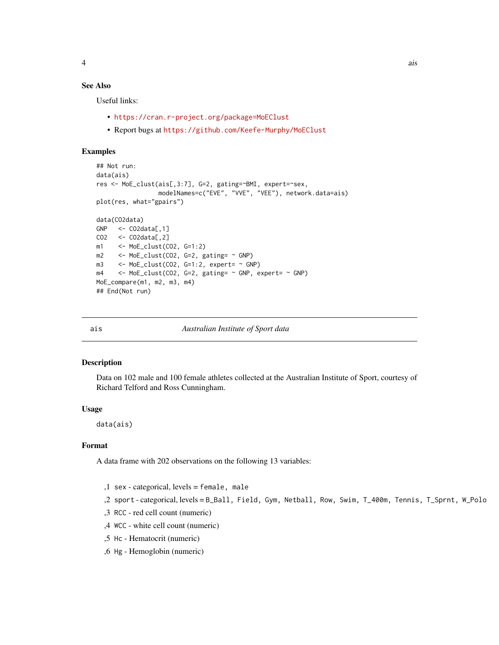### <span id="page-3-0"></span>See Also

Useful links:

- <https://cran.r-project.org/package=MoEClust>
- Report bugs at <https://github.com/Keefe-Murphy/MoEClust>

#### Examples

```
## Not run:
data(ais)
res <- MoE_clust(ais[,3:7], G=2, gating=~BMI, expert=~sex,
                 modelNames=c("EVE", "VVE", "VEE"), network.data=ais)
plot(res, what="gpairs")
data(CO2data)
GNP <- CO2data[, 1]CO2 <- CO2data[,2]
m1 <- MoE_clust(CO2, G=1:2)
m2 \le \leftarrow MoE_clust(CO2, G=2, gating= \sim GNP)
m3 \leq MoE_clust(CO2, G=1:2, expert= \sim GNP)
m4 \le - MoE_clust(CO2, G=2, gating= \sim GNP, expert= \sim GNP)
MoE_compare(m1, m2, m3, m4)
## End(Not run)
```
ais *Australian Institute of Sport data*

#### Description

Data on 102 male and 100 female athletes collected at the Australian Institute of Sport, courtesy of Richard Telford and Ross Cunningham.

#### Usage

data(ais)

### Format

A data frame with 202 observations on the following 13 variables:

- ,1 sex categorical, levels = female, male
- ,2 sport categorical, levels = B\_Ball, Field, Gym, Netball, Row, Swim, T\_400m, Tennis, T\_Sprnt, W\_Polo
- ,3 RCC red cell count (numeric)
- ,4 WCC white cell count (numeric)
- ,5 Hc Hematocrit (numeric)
- ,6 Hg Hemoglobin (numeric)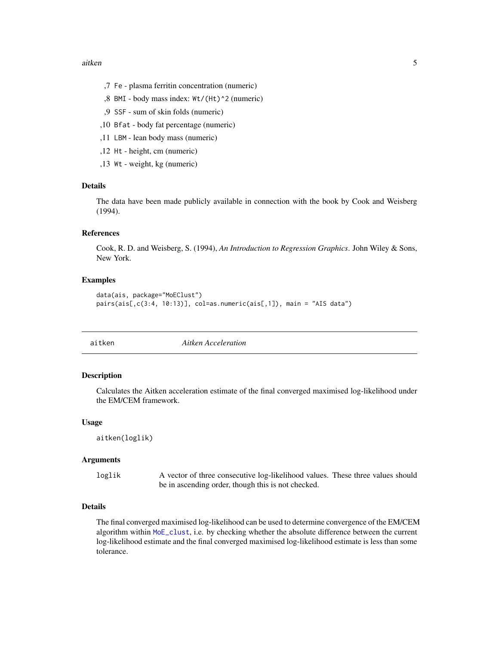- <span id="page-4-0"></span>,7 Fe - plasma ferritin concentration (numeric)
- ,8 BMI body mass index: Wt/(Ht)^2 (numeric)
- ,9 SSF sum of skin folds (numeric)
- ,10 Bfat body fat percentage (numeric)
- ,11 LBM lean body mass (numeric)
- ,12 Ht height, cm (numeric)
- ,13 Wt weight, kg (numeric)

#### Details

The data have been made publicly available in connection with the book by Cook and Weisberg (1994).

### References

Cook, R. D. and Weisberg, S. (1994), *An Introduction to Regression Graphics*. John Wiley & Sons, New York.

#### Examples

```
data(ais, package="MoEClust")
pairs(ais[,c(3:4, 10:13)], col=as.numeric(ais[,1]), main = "AIS data")
```
<span id="page-4-1"></span>aitken *Aitken Acceleration*

### **Description**

Calculates the Aitken acceleration estimate of the final converged maximised log-likelihood under the EM/CEM framework.

#### Usage

```
aitken(loglik)
```
#### Arguments

loglik A vector of three consecutive log-likelihood values. These three values should be in ascending order, though this is not checked.

### Details

The final converged maximised log-likelihood can be used to determine convergence of the EM/CEM algorithm within [MoE\\_clust](#page-13-1), i.e. by checking whether the absolute difference between the current log-likelihood estimate and the final converged maximised log-likelihood estimate is less than some tolerance.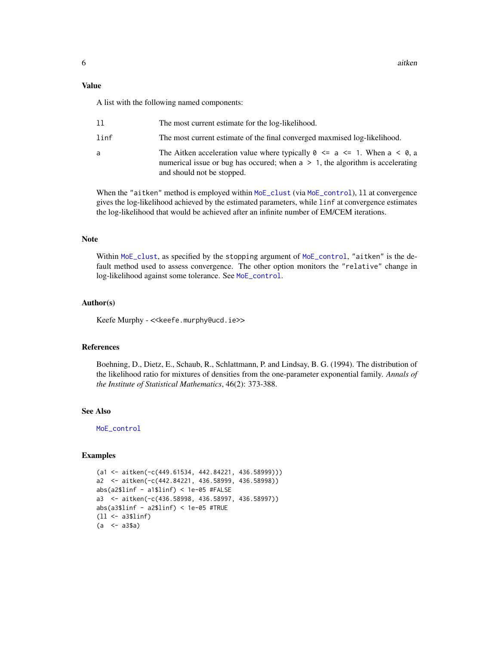### <span id="page-5-0"></span>Value

A list with the following named components:

| 11   | The most current estimate for the log-likelihood.                                                                                                                                                               |
|------|-----------------------------------------------------------------------------------------------------------------------------------------------------------------------------------------------------------------|
| linf | The most current estimate of the final converged maxmised log-likelihood.                                                                                                                                       |
| a    | The Aitken acceleration value where typically $\theta \le a \le 1$ . When $a \le \theta$ , a<br>numerical issue or bug has occurred; when $a > 1$ , the algorithm is accelerating<br>and should not be stopped. |

When the "aitken" method is employed within [MoE\\_clust](#page-13-1) (via [MoE\\_control](#page-22-1)), 11 at convergence gives the log-likelihood achieved by the estimated parameters, while linf at convergence estimates the log-likelihood that would be achieved after an infinite number of EM/CEM iterations.

#### Note

Within [MoE\\_clust](#page-13-1), as specified by the stopping argument of [MoE\\_control](#page-22-1), "aitken" is the default method used to assess convergence. The other option monitors the "relative" change in log-likelihood against some tolerance. See [MoE\\_control](#page-22-1).

#### Author(s)

Keefe Murphy - << keefe.murphy@ucd.ie>>

### References

Boehning, D., Dietz, E., Schaub, R., Schlattmann, P. and Lindsay, B. G. (1994). The distribution of the likelihood ratio for mixtures of densities from the one-parameter exponential family. *Annals of the Institute of Statistical Mathematics*, 46(2): 373-388.

#### See Also

[MoE\\_control](#page-22-1)

```
(a1 <- aitken(-c(449.61534, 442.84221, 436.58999)))
a2 <- aitken(-c(442.84221, 436.58999, 436.58998))
abs(a2$linf - a1$linf) < 1e-05 #FALSE
a3 <- aitken(-c(436.58998, 436.58997, 436.58997))
abs(a3$linf - a2$linf) < 1e-05 #TRUE
(ll <- a3$linf)
(a \le -a3\a)
```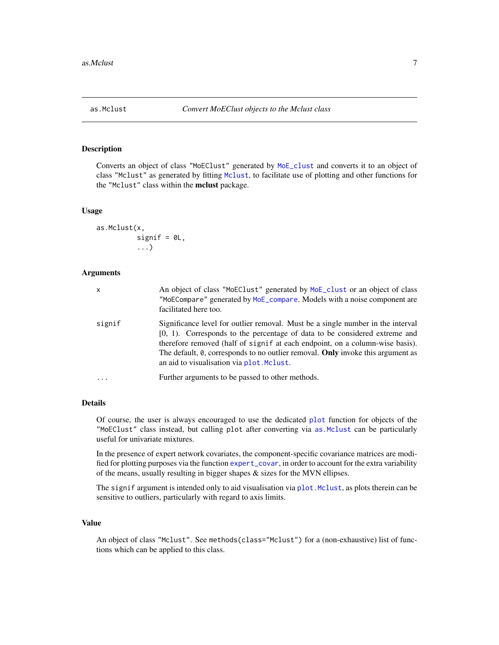### <span id="page-6-1"></span><span id="page-6-0"></span>Description

Converts an object of class "MoEClust" generated by [MoE\\_clust](#page-13-1) and converts it to an object of class "Mclust" as generated by fitting [Mclust](#page-0-0), to facilitate use of plotting and other functions for the "Mclust" class within the mclust package.

#### Usage

```
as.Mclust(x,
          signif = OL,
          ...)
```
#### Arguments

| x       | An object of class "MoEClust" generated by MoE_clust or an object of class<br>"MoECompare" generated by MoE_compare. Models with a noise component are<br>facilitated here too.                                                                                                                                                                                                  |
|---------|----------------------------------------------------------------------------------------------------------------------------------------------------------------------------------------------------------------------------------------------------------------------------------------------------------------------------------------------------------------------------------|
| signif  | Significance level for outlier removal. Must be a single number in the interval<br>$[0, 1)$ . Corresponds to the percentage of data to be considered extreme and<br>therefore removed (half of signif at each endpoint, on a column-wise basis).<br>The default, 0, corresponds to no outlier removal. Only invoke this argument as<br>an aid to visualisation via plot. Melust. |
| $\cdot$ | Further arguments to be passed to other methods.                                                                                                                                                                                                                                                                                                                                 |

### Details

Of course, the user is always encouraged to use the dedicated [plot](#page-48-1) function for objects of the "MoEClust" class instead, but calling plot after converting via [as.Mclust](#page-6-1) can be particularly useful for univariate mixtures.

In the presence of expert network covariates, the component-specific covariance matrices are modified for plotting purposes via the function [expert\\_covar](#page-11-1), in order to account for the extra variability of the means, usually resulting in bigger shapes & sizes for the MVN ellipses.

The signif argument is intended only to aid visualisation via plot. Mclust, as plots therein can be sensitive to outliers, particularly with regard to axis limits.

### Value

An object of class "Mclust". See methods(class="Mclust") for a (non-exhaustive) list of functions which can be applied to this class.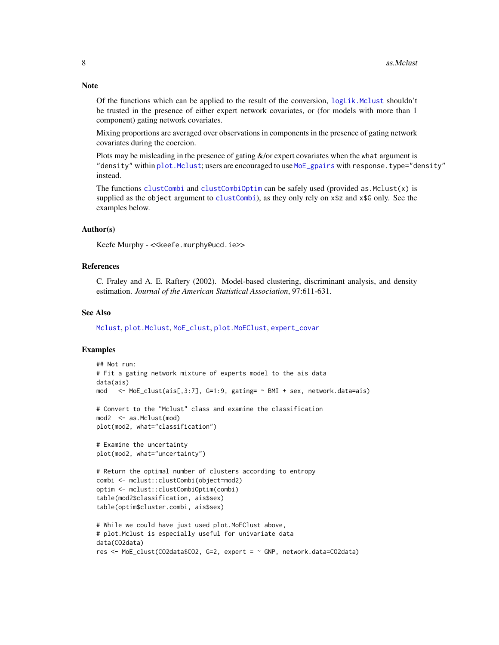Of the functions which can be applied to the result of the conversion,  $logLik$ . Mclust shouldn't be trusted in the presence of either expert network covariates, or (for models with more than 1 component) gating network covariates.

Mixing proportions are averaged over observations in components in the presence of gating network covariates during the coercion.

Plots may be misleading in the presence of gating  $\&$ /or expert covariates when the what argument is "density" within [plot.Mclust](#page-0-0); users are encouraged to use [MoE\\_gpairs](#page-35-1) with response.type="density" instead.

The functions [clustCombi](#page-0-0) and [clustCombiOptim](#page-0-0) can be safely used (provided as  $Mclust(x)$  is supplied as the object argument to [clustCombi](#page-0-0)), as they only rely on x\$z and x\$G only. See the examples below.

#### Author(s)

Keefe Murphy - <<keefe.murphy@ucd.ie>>

#### References

C. Fraley and A. E. Raftery (2002). Model-based clustering, discriminant analysis, and density estimation. *Journal of the American Statistical Association*, 97:611-631.

#### See Also

[Mclust](#page-0-0), [plot.Mclust](#page-0-0), [MoE\\_clust](#page-13-1), [plot.MoEClust](#page-48-1), [expert\\_covar](#page-11-1)

#### Examples

```
## Not run:
# Fit a gating network mixture of experts model to the ais data
data(ais)
mod \leq MoE_clust(ais[,3:7], G=1:9, gating= \sim BMI + sex, network.data=ais)
# Convert to the "Mclust" class and examine the classification
mod2 <- as.Mclust(mod)
plot(mod2, what="classification")
# Examine the uncertainty
plot(mod2, what="uncertainty")
# Return the optimal number of clusters according to entropy
combi <- mclust::clustCombi(object=mod2)
optim <- mclust::clustCombiOptim(combi)
table(mod2$classification, ais$sex)
table(optim$cluster.combi, ais$sex)
# While we could have just used plot.MoEClust above,
# plot.Mclust is especially useful for univariate data
data(CO2data)
res <- MoE_clust(CO2data$CO2, G=2, expert = ~ GNP, network.data=CO2data)
```
### <span id="page-7-0"></span>**Note**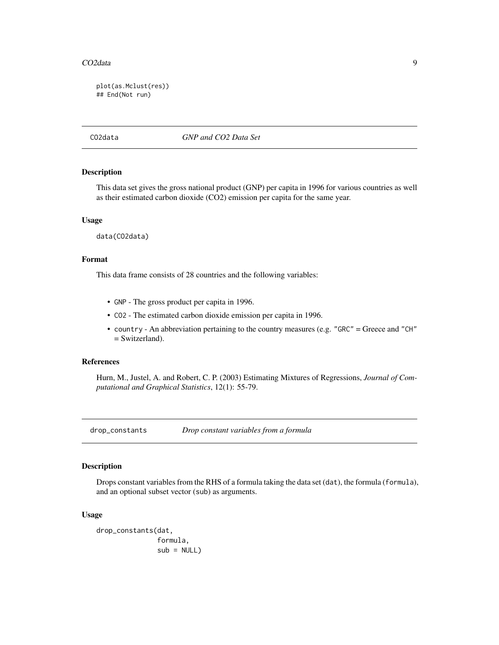<span id="page-8-0"></span>plot(as.Mclust(res)) ## End(Not run)

CO2data *GNP and CO2 Data Set*

#### Description

This data set gives the gross national product (GNP) per capita in 1996 for various countries as well as their estimated carbon dioxide (CO2) emission per capita for the same year.

#### Usage

data(CO2data)

### Format

This data frame consists of 28 countries and the following variables:

- GNP The gross product per capita in 1996.
- CO2 The estimated carbon dioxide emission per capita in 1996.
- country An abbreviation pertaining to the country measures (e.g. "GRC" = Greece and "CH" = Switzerland).

#### References

Hurn, M., Justel, A. and Robert, C. P. (2003) Estimating Mixtures of Regressions, *Journal of Computational and Graphical Statistics*, 12(1): 55-79.

<span id="page-8-1"></span>drop\_constants *Drop constant variables from a formula*

#### Description

Drops constant variables from the RHS of a formula taking the data set (dat), the formula (formula), and an optional subset vector (sub) as arguments.

### Usage

```
drop_constants(dat,
               formula,
               sub = NULL
```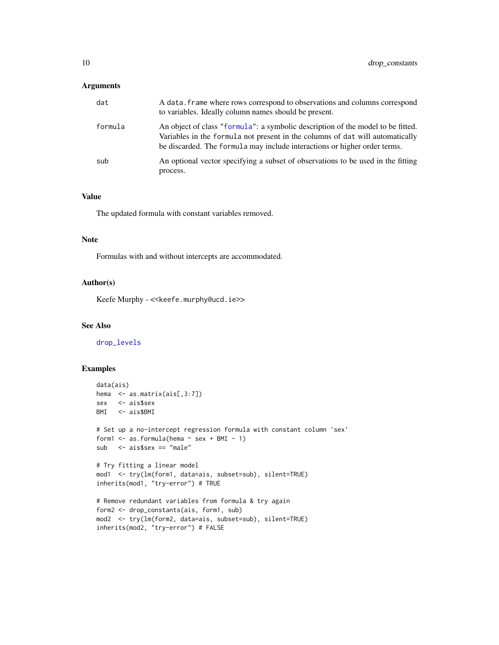### <span id="page-9-0"></span>Arguments

| dat     | A data. frame where rows correspond to observations and columns correspond<br>to variables. Ideally column names should be present.                                                                                                           |
|---------|-----------------------------------------------------------------------------------------------------------------------------------------------------------------------------------------------------------------------------------------------|
| formula | An object of class "formula": a symbolic description of the model to be fitted.<br>Variables in the formula not present in the columns of dat will automatically<br>be discarded. The formula may include interactions or higher order terms. |
| sub     | An optional vector specifying a subset of observations to be used in the fitting<br>process.                                                                                                                                                  |

### Value

The updated formula with constant variables removed.

### Note

Formulas with and without intercepts are accommodated.

### Author(s)

Keefe Murphy - << keefe.murphy@ucd.ie>>

### See Also

[drop\\_levels](#page-10-1)

```
data(ais)
hema <- as.matrix(ais[,3:7])
sex <- ais$sex
BMI <- ais$BMI
# Set up a no-intercept regression formula with constant column 'sex'
form1 \leq as.formula(hema \leq sex + BMI - 1)
sub <- ais$sex == "male"
# Try fitting a linear model
mod1 <- try(lm(form1, data=ais, subset=sub), silent=TRUE)
inherits(mod1, "try-error") # TRUE
# Remove redundant variables from formula & try again
form2 <- drop_constants(ais, form1, sub)
mod2 <- try(lm(form2, data=ais, subset=sub), silent=TRUE)
inherits(mod2, "try-error") # FALSE
```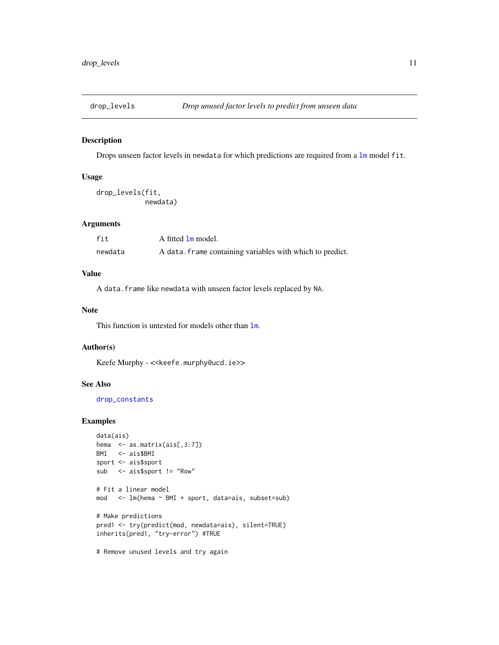<span id="page-10-1"></span><span id="page-10-0"></span>

### Description

Drops unseen factor levels in newdata for which predictions are required from a [lm](#page-0-0) model fit.

#### Usage

drop\_levels(fit, newdata)

### Arguments

| fit     | A fitted 1m model.                                        |
|---------|-----------------------------------------------------------|
| newdata | A data. frame containing variables with which to predict. |

### Value

A data.frame like newdata with unseen factor levels replaced by NA.

### Note

This function is untested for models other than [lm](#page-0-0).

### Author(s)

Keefe Murphy - << keefe.murphy@ucd.ie>>

### See Also

[drop\\_constants](#page-8-1)

```
data(ais)
hema <- as.matrix(ais[,3:7])
BMI <- ais$BMI
sport <- ais$sport
sub <- ais$sport != "Row"
# Fit a linear model
mod <- lm(hema ~ BMI + sport, data=ais, subset=sub)
# Make predictions
pred1 <- try(predict(mod, newdata=ais), silent=TRUE)
inherits(pred1, "try-error") #TRUE
# Remove unused levels and try again
```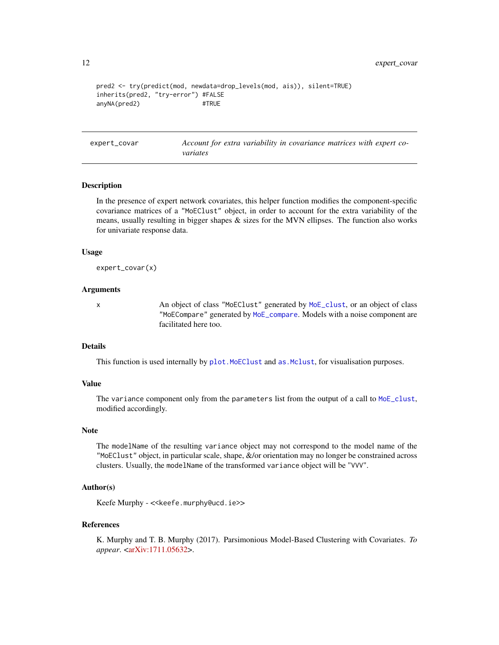```
pred2 <- try(predict(mod, newdata=drop_levels(mod, ais)), silent=TRUE)
inherits(pred2, "try-error") #FALSE
anyNA(pred2) #TRUE
```
<span id="page-11-1"></span>expert\_covar *Account for extra variability in covariance matrices with expert covariates*

#### **Description**

In the presence of expert network covariates, this helper function modifies the component-specific covariance matrices of a "MoEClust" object, in order to account for the extra variability of the means, usually resulting in bigger shapes  $\&$  sizes for the MVN ellipses. The function also works for univariate response data.

#### Usage

```
expert_covar(x)
```
#### Arguments

x An object of class "MoEClust" generated by [MoE\\_clust](#page-13-1), or an object of class "MoECompare" generated by [MoE\\_compare](#page-19-1). Models with a noise component are facilitated here too.

#### Details

This function is used internally by plot. MoEClust and as. Mclust, for visualisation purposes.

### Value

The variance component only from the parameters list from the output of a call to [MoE\\_clust](#page-13-1), modified accordingly.

### Note

The modelName of the resulting variance object may not correspond to the model name of the "MoEClust" object, in particular scale, shape, &/or orientation may no longer be constrained across clusters. Usually, the modelName of the transformed variance object will be "VVV".

### Author(s)

Keefe Murphy - << keefe.murphy@ucd.ie>>

#### References

K. Murphy and T. B. Murphy (2017). Parsimonious Model-Based Clustering with Covariates. *To appear*. [<arXiv:1711.05632>](https://arxiv.org/abs/1711.05632).

<span id="page-11-0"></span>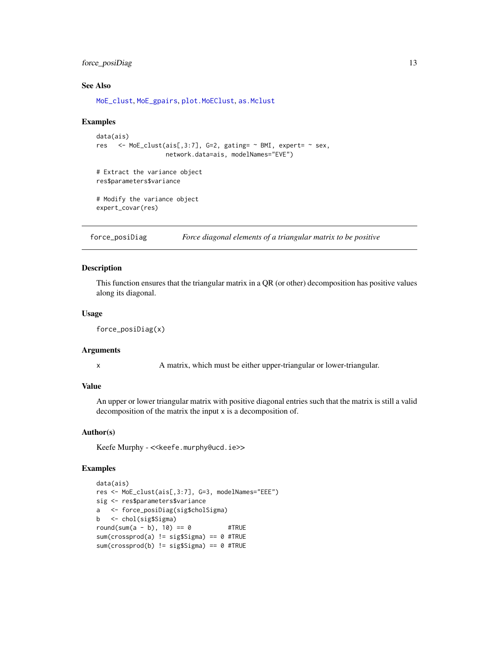### <span id="page-12-0"></span>force\_posiDiag 13

### See Also

[MoE\\_clust](#page-13-1), [MoE\\_gpairs](#page-35-1), [plot.MoEClust](#page-48-1), [as.Mclust](#page-6-1)

#### Examples

```
data(ais)
res <- MoE_clust(ais[,3:7], G=2, gating= ~ BMI, expert= ~ sex,
                  network.data=ais, modelNames="EVE")
# Extract the variance object
res$parameters$variance
```
# Modify the variance object expert\_covar(res)

force\_posiDiag *Force diagonal elements of a triangular matrix to be positive*

### Description

This function ensures that the triangular matrix in a QR (or other) decomposition has positive values along its diagonal.

#### Usage

```
force_posiDiag(x)
```
### Arguments

x A matrix, which must be either upper-triangular or lower-triangular.

### Value

An upper or lower triangular matrix with positive diagonal entries such that the matrix is still a valid decomposition of the matrix the input x is a decomposition of.

#### Author(s)

Keefe Murphy - << keefe.murphy@ucd.ie>>

```
data(ais)
res <- MoE_clust(ais[,3:7], G=3, modelNames="EEE")
sig <- res$parameters$variance
a <- force_posiDiag(sig$cholSigma)
b <- chol(sig$Sigma)
round(sum(a - b), 10) == 0 #TRUE
sum(crossprod(a) != sig$Sigma) == 0 #TRUE
sum(crossprod(b) != sig$Sigma) == 0 #TRUE
```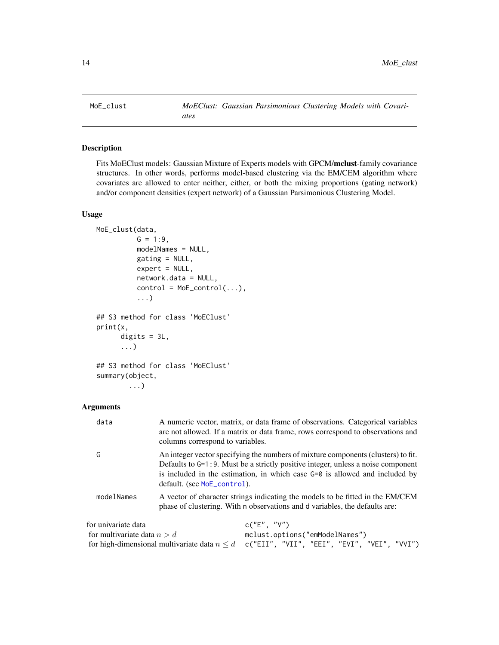<span id="page-13-1"></span><span id="page-13-0"></span>

### Description

Fits MoEClust models: Gaussian Mixture of Experts models with GPCM/mclust-family covariance structures. In other words, performs model-based clustering via the EM/CEM algorithm where covariates are allowed to enter neither, either, or both the mixing proportions (gating network) and/or component densities (expert network) of a Gaussian Parsimonious Clustering Model.

### Usage

```
MoE_clust(data,
          G = 1:9,
          modelNames = NULL,
          gating = NULL,
          expert = NULL,network.data = NULL,
          control = MoE_countrol(...),...)
## S3 method for class 'MoEClust'
print(x,
      digits = 3L,
      ...)
## S3 method for class 'MoEClust'
summary(object,
```

```
...)
```
#### **Arguments**

| data                                                 | A numeric vector, matrix, or data frame of observations. Categorical variables<br>are not allowed. If a matrix or data frame, rows correspond to observations and<br>columns correspond to variables.                                                                                 |
|------------------------------------------------------|---------------------------------------------------------------------------------------------------------------------------------------------------------------------------------------------------------------------------------------------------------------------------------------|
| G                                                    | An integer vector specifying the numbers of mixture components (clusters) to fit.<br>Defaults to G=1:9. Must be a strictly positive integer, unless a noise component<br>is included in the estimation, in which case $G=0$ is allowed and included by<br>default. (see MoE_control). |
| modelNames                                           | A vector of character strings indicating the models to be fitted in the EM/CEM<br>phase of clustering. With n observations and d variables, the defaults are:                                                                                                                         |
| for univariate data<br>for multivariate data $n > d$ | c("E", "V")<br>mclust.options("emModelNames")                                                                                                                                                                                                                                         |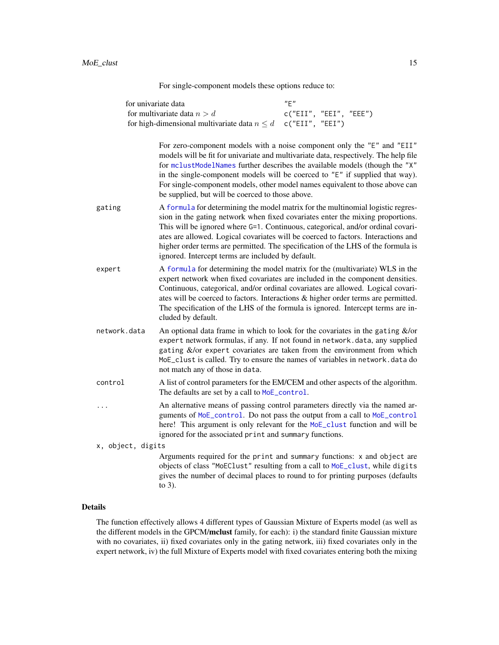For single-component models these options reduce to:

<span id="page-14-0"></span>

| for univariate data                                               | "F"                    |
|-------------------------------------------------------------------|------------------------|
| for multivariate data $n > d$                                     | c("EII", "EEI", "EEE") |
| for high-dimensional multivariate data $n \leq d$ c("EII", "EEI") |                        |

For zero-component models with a noise component only the "E" and "EII" models will be fit for univariate and multivariate data, respectively. The help file for [mclustModelNames](#page-0-0) further describes the available models (though the "X" in the single-component models will be coerced to "E" if supplied that way). For single-component models, other model names equivalent to those above can be supplied, but will be coerced to those above.

- gating  $\overline{A}$  [formula](#page-0-0) for determining the model matrix for the multinomial logistic regression in the gating network when fixed covariates enter the mixing proportions. This will be ignored where G=1. Continuous, categorical, and/or ordinal covariates are allowed. Logical covariates will be coerced to factors. Interactions and higher order terms are permitted. The specification of the LHS of the formula is ignored. Intercept terms are included by default.
- expert A [formula](#page-0-0) for determining the model matrix for the (multivariate) WLS in the expert network when fixed covariates are included in the component densities. Continuous, categorical, and/or ordinal covariates are allowed. Logical covariates will be coerced to factors. Interactions & higher order terms are permitted. The specification of the LHS of the formula is ignored. Intercept terms are included by default.
- network.data An optional data frame in which to look for the covariates in the gating &/or expert network formulas, if any. If not found in network.data, any supplied gating &/or expert covariates are taken from the environment from which MoE\_clust is called. Try to ensure the names of variables in network.data do not match any of those in data.
- control A list of control parameters for the EM/CEM and other aspects of the algorithm. The defaults are set by a call to [MoE\\_control](#page-22-1).
- ... An alternative means of passing control parameters directly via the named arguments of [MoE\\_control](#page-22-1). Do not pass the output from a call to [MoE\\_control](#page-22-1) here! This argument is only relevant for the [MoE\\_clust](#page-13-1) function and will be ignored for the associated print and summary functions.

x, object, digits

Arguments required for the print and summary functions: x and object are objects of class "MoEClust" resulting from a call to [MoE\\_clust](#page-13-1), while digits gives the number of decimal places to round to for printing purposes (defaults to 3).

#### Details

The function effectively allows 4 different types of Gaussian Mixture of Experts model (as well as the different models in the GPCM/mclust family, for each): i) the standard finite Gaussian mixture with no covariates, ii) fixed covariates only in the gating network, iii) fixed covariates only in the expert network, iv) the full Mixture of Experts model with fixed covariates entering both the mixing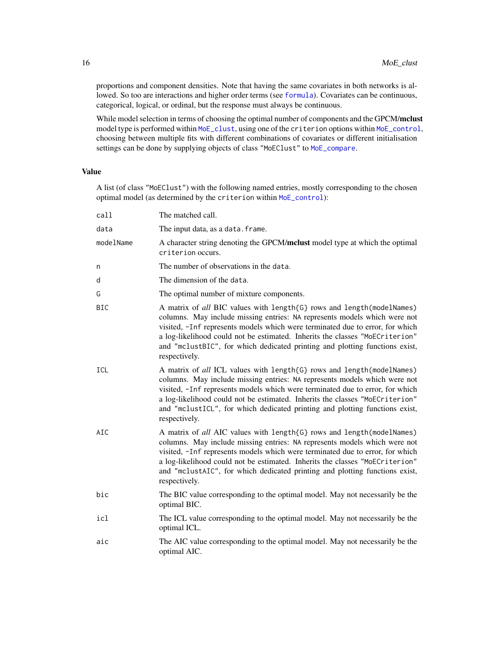proportions and component densities. Note that having the same covariates in both networks is allowed. So too are interactions and higher order terms (see [formula](#page-0-0)). Covariates can be continuous, categorical, logical, or ordinal, but the response must always be continuous.

While model selection in terms of choosing the optimal number of components and the GPCM/mclust model type is performed within [MoE\\_clust](#page-13-1), using one of the criterion options within [MoE\\_control](#page-22-1), choosing between multiple fits with different combinations of covariates or different initialisation settings can be done by supplying objects of class "MoEClust" to [MoE\\_compare](#page-19-1).

### Value

A list (of class "MoEClust") with the following named entries, mostly corresponding to the chosen optimal model (as determined by the criterion within [MoE\\_control](#page-22-1)):

| call       | The matched call.                                                                                                                                                                                                                                                                                                                                                                                                   |
|------------|---------------------------------------------------------------------------------------------------------------------------------------------------------------------------------------------------------------------------------------------------------------------------------------------------------------------------------------------------------------------------------------------------------------------|
| data       | The input data, as a data. frame.                                                                                                                                                                                                                                                                                                                                                                                   |
| modelName  | A character string denoting the GPCM/mclust model type at which the optimal<br>criterion occurs.                                                                                                                                                                                                                                                                                                                    |
| n          | The number of observations in the data.                                                                                                                                                                                                                                                                                                                                                                             |
| d          | The dimension of the data.                                                                                                                                                                                                                                                                                                                                                                                          |
| G          | The optimal number of mixture components.                                                                                                                                                                                                                                                                                                                                                                           |
| <b>BIC</b> | A matrix of all BIC values with length{G} rows and length(modelNames)<br>columns. May include missing entries: NA represents models which were not<br>visited, -Inf represents models which were terminated due to error, for which<br>a log-likelihood could not be estimated. Inherits the classes "MoECriterion"<br>and "mclustBIC", for which dedicated printing and plotting functions exist,<br>respectively. |
| <b>ICL</b> | A matrix of all ICL values with length{G} rows and length(modelNames)<br>columns. May include missing entries: NA represents models which were not<br>visited, -Inf represents models which were terminated due to error, for which<br>a log-likelihood could not be estimated. Inherits the classes "MoECriterion"<br>and "mclustICL", for which dedicated printing and plotting functions exist,<br>respectively. |
| AIC        | A matrix of all AIC values with length{G} rows and length(modelNames)<br>columns. May include missing entries: NA represents models which were not<br>visited, -Inf represents models which were terminated due to error, for which<br>a log-likelihood could not be estimated. Inherits the classes "MoECriterion"<br>and "mclustAIC", for which dedicated printing and plotting functions exist,<br>respectively. |
| bic        | The BIC value corresponding to the optimal model. May not necessarily be the<br>optimal BIC.                                                                                                                                                                                                                                                                                                                        |
| icl        | The ICL value corresponding to the optimal model. May not necessarily be the<br>optimal ICL.                                                                                                                                                                                                                                                                                                                        |
| aic        | The AIC value corresponding to the optimal model. May not necessarily be the<br>optimal AIC.                                                                                                                                                                                                                                                                                                                        |

<span id="page-15-0"></span>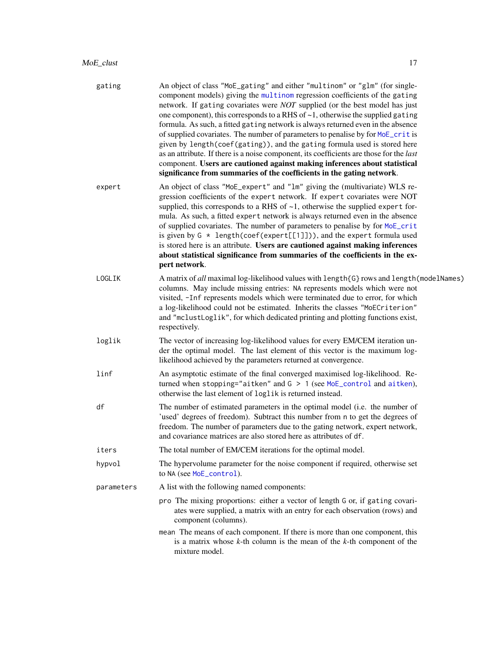<span id="page-16-0"></span>

| gating     | An object of class "MoE_gating" and either "multinom" or "glm" (for single-<br>component models) giving the multinom regression coefficients of the gating<br>network. If gating covariates were <i>NOT</i> supplied (or the best model has just<br>one component), this corresponds to a RHS of $\sim$ 1, otherwise the supplied gating<br>formula. As such, a fitted gating network is always returned even in the absence<br>of supplied covariates. The number of parameters to penalise by for MoE_crit is<br>given by length(coef(gating)), and the gating formula used is stored here<br>as an attribute. If there is a noise component, its coefficients are those for the last<br>component. Users are cautioned against making inferences about statistical<br>significance from summaries of the coefficients in the gating network. |
|------------|-------------------------------------------------------------------------------------------------------------------------------------------------------------------------------------------------------------------------------------------------------------------------------------------------------------------------------------------------------------------------------------------------------------------------------------------------------------------------------------------------------------------------------------------------------------------------------------------------------------------------------------------------------------------------------------------------------------------------------------------------------------------------------------------------------------------------------------------------|
| expert     | An object of class "MoE_expert" and "1m" giving the (multivariate) WLS re-<br>gression coefficients of the expert network. If expert covariates were NOT<br>supplied, this corresponds to a RHS of $\sim$ 1, otherwise the supplied expert for-<br>mula. As such, a fitted expert network is always returned even in the absence<br>of supplied covariates. The number of parameters to penalise by for MoE_crit<br>is given by $G * length(coeff(expert[[1]]))$ , and the expert formula used<br>is stored here is an attribute. Users are cautioned against making inferences<br>about statistical significance from summaries of the coefficients in the ex-<br>pert network.                                                                                                                                                                |
| LOGLIK     | A matrix of all maximal log-likelihood values with length{G} rows and length(modelNames)<br>columns. May include missing entries: NA represents models which were not<br>visited, -Inf represents models which were terminated due to error, for which<br>a log-likelihood could not be estimated. Inherits the classes "MoECriterion"<br>and "mclustLoglik", for which dedicated printing and plotting functions exist,<br>respectively.                                                                                                                                                                                                                                                                                                                                                                                                       |
| loglik     | The vector of increasing log-likelihood values for every EM/CEM iteration un-<br>der the optimal model. The last element of this vector is the maximum log-<br>likelihood achieved by the parameters returned at convergence.                                                                                                                                                                                                                                                                                                                                                                                                                                                                                                                                                                                                                   |
| linf       | An asymptotic estimate of the final converged maximised log-likelihood. Re-<br>turned when stopping="aitken" and $G > 1$ (see MoE_control and aitken),<br>otherwise the last element of loglik is returned instead.                                                                                                                                                                                                                                                                                                                                                                                                                                                                                                                                                                                                                             |
| df         | The number of estimated parameters in the optimal model (i.e. the number of<br>'used' degrees of freedom). Subtract this number from n to get the degrees of<br>freedom. The number of parameters due to the gating network, expert network,<br>and covariance matrices are also stored here as attributes of df.                                                                                                                                                                                                                                                                                                                                                                                                                                                                                                                               |
| iters      | The total number of EM/CEM iterations for the optimal model.                                                                                                                                                                                                                                                                                                                                                                                                                                                                                                                                                                                                                                                                                                                                                                                    |
| hypvol     | The hypervolume parameter for the noise component if required, otherwise set<br>to NA (see MoE_control).                                                                                                                                                                                                                                                                                                                                                                                                                                                                                                                                                                                                                                                                                                                                        |
| parameters | A list with the following named components:                                                                                                                                                                                                                                                                                                                                                                                                                                                                                                                                                                                                                                                                                                                                                                                                     |
|            | pro The mixing proportions: either a vector of length G or, if gating covari-<br>ates were supplied, a matrix with an entry for each observation (rows) and<br>component (columns).                                                                                                                                                                                                                                                                                                                                                                                                                                                                                                                                                                                                                                                             |
|            | mean The means of each component. If there is more than one component, this<br>is a matrix whose $k$ -th column is the mean of the $k$ -th component of the<br>mixture model.                                                                                                                                                                                                                                                                                                                                                                                                                                                                                                                                                                                                                                                                   |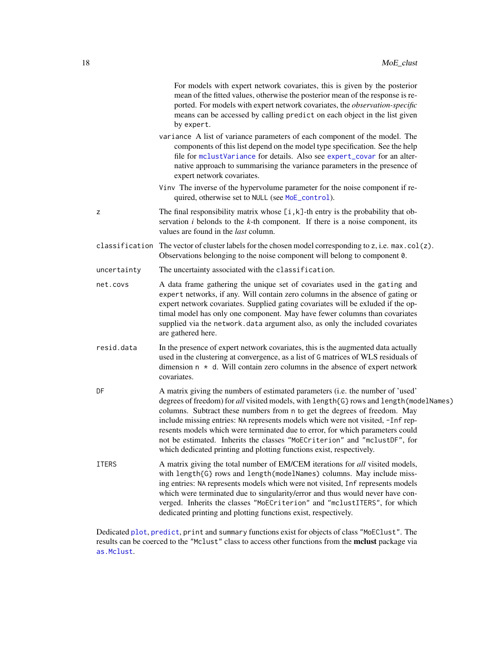<span id="page-17-0"></span>

|              | For models with expert network covariates, this is given by the posterior<br>mean of the fitted values, otherwise the posterior mean of the response is re-<br>ported. For models with expert network covariates, the observation-specific<br>means can be accessed by calling predict on each object in the list given<br>by expert.                                                                                                                                                                                                                                          |
|--------------|--------------------------------------------------------------------------------------------------------------------------------------------------------------------------------------------------------------------------------------------------------------------------------------------------------------------------------------------------------------------------------------------------------------------------------------------------------------------------------------------------------------------------------------------------------------------------------|
|              | variance A list of variance parameters of each component of the model. The<br>components of this list depend on the model type specification. See the help<br>file for mclustVariance for details. Also see expert_covar for an alter-<br>native approach to summarising the variance parameters in the presence of<br>expert network covariates.                                                                                                                                                                                                                              |
|              | Vinv The inverse of the hypervolume parameter for the noise component if re-<br>quired, otherwise set to NULL (see MoE_control).                                                                                                                                                                                                                                                                                                                                                                                                                                               |
| z            | The final responsibility matrix whose $[i, k]$ -th entry is the probability that ob-<br>servation $i$ belonds to the $k$ -th component. If there is a noise component, its<br>values are found in the <i>last</i> column.                                                                                                                                                                                                                                                                                                                                                      |
|              | classification The vector of cluster labels for the chosen model corresponding to z, i.e. max.col(z).<br>Observations belonging to the noise component will belong to component 0.                                                                                                                                                                                                                                                                                                                                                                                             |
| uncertainty  | The uncertainty associated with the classification.                                                                                                                                                                                                                                                                                                                                                                                                                                                                                                                            |
| net.covs     | A data frame gathering the unique set of covariates used in the gating and<br>expert networks, if any. Will contain zero columns in the absence of gating or<br>expert network covariates. Supplied gating covariates will be exluded if the op-<br>timal model has only one component. May have fewer columns than covariates<br>supplied via the network.data argument also, as only the included covariates<br>are gathered here.                                                                                                                                           |
| resid.data   | In the presence of expert network covariates, this is the augmented data actually<br>used in the clustering at convergence, as a list of G matrices of WLS residuals of<br>dimension $n \times d$ . Will contain zero columns in the absence of expert network<br>covariates.                                                                                                                                                                                                                                                                                                  |
| DF           | A matrix giving the numbers of estimated parameters (i.e. the number of 'used'<br>degrees of freedom) for all visited models, with length{G} rows and length(modelNames)<br>columns. Subtract these numbers from n to get the degrees of freedom. May<br>include missing entries: NA represents models which were not visited, -Inf rep-<br>resents models which were terminated due to error, for which parameters could<br>not be estimated. Inherits the classes "MoECriterion" and "mclustDF", for<br>which dedicated printing and plotting functions exist, respectively. |
| <b>ITERS</b> | A matrix giving the total number of EM/CEM iterations for all visited models,<br>with length{G} rows and length(modelNames) columns. May include miss-<br>ing entries: NA represents models which were not visited, Inf represents models<br>which were terminated due to singularity/error and thus would never have con-<br>verged. Inherits the classes "MoECriterion" and "mclustITERS", for which<br>dedicated printing and plotting functions exist, respectively.                                                                                                       |

Dedicated [plot](#page-48-1), [predict](#page-50-1), print and summary functions exist for objects of class "MoEClust". The results can be coerced to the "Mclust" class to access other functions from the mclust package via [as.Mclust](#page-6-1).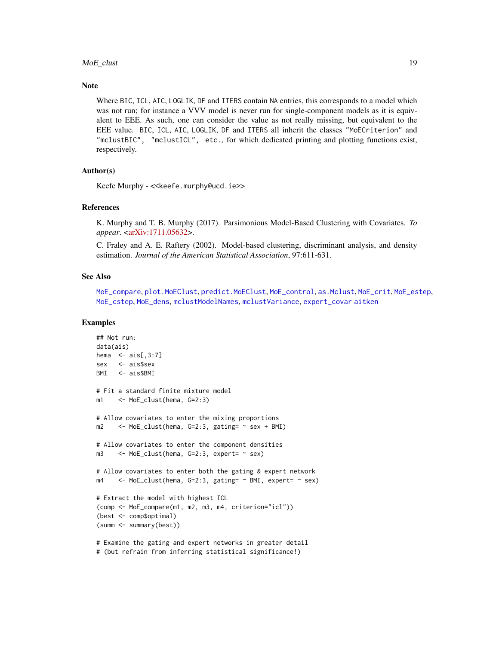#### <span id="page-18-0"></span>MoE\_clust 19

#### **Note**

Where BIC, ICL, AIC, LOGLIK, DF and ITERS contain NA entries, this corresponds to a model which was not run; for instance a VVV model is never run for single-component models as it is equivalent to EEE. As such, one can consider the value as not really missing, but equivalent to the EEE value. BIC, ICL, AIC, LOGLIK, DF and ITERS all inherit the classes "MoECriterion" and "mclustBIC", "mclustICL", etc., for which dedicated printing and plotting functions exist, respectively.

### Author(s)

Keefe Murphy - << keefe.murphy@ucd.ie>>

#### References

K. Murphy and T. B. Murphy (2017). Parsimonious Model-Based Clustering with Covariates. *To appear*. [<arXiv:1711.05632>](https://arxiv.org/abs/1711.05632).

C. Fraley and A. E. Raftery (2002). Model-based clustering, discriminant analysis, and density estimation. *Journal of the American Statistical Association*, 97:611-631.

#### See Also

[MoE\\_compare](#page-19-1), [plot.MoEClust](#page-48-1), [predict.MoEClust](#page-50-1), [MoE\\_control](#page-22-1), [as.Mclust](#page-6-1), [MoE\\_crit](#page-27-1), [MoE\\_estep](#page-33-1), [MoE\\_cstep](#page-30-1), [MoE\\_dens](#page-32-1), [mclustModelNames](#page-0-0), [mclustVariance](#page-0-0), [expert\\_covar](#page-11-1) [aitken](#page-4-1)

```
## Not run:
data(ais)
hema \leq - \text{ais}[,3:7]sex <- ais$sex
BMI <- ais$BMI
# Fit a standard finite mixture model
m1 <- MoE_clust(hema, G=2:3)
# Allow covariates to enter the mixing proportions
m2 <- MoE_clust(hema, G=2:3, gating= ~ sex + BMI)
# Allow covariates to enter the component densities
m3 \leq MoE_clust(hema, G=2:3, expert= \sim sex)
# Allow covariates to enter both the gating & expert network
m4 <- MoE_clust(hema, G=2:3, gating= ~ BMI, expert= ~ sex)
# Extract the model with highest ICL
(comp <- MoE_compare(m1, m2, m3, m4, criterion="icl"))
(best <- comp$optimal)
(summ <- summary(best))
# Examine the gating and expert networks in greater detail
# (but refrain from inferring statistical significance!)
```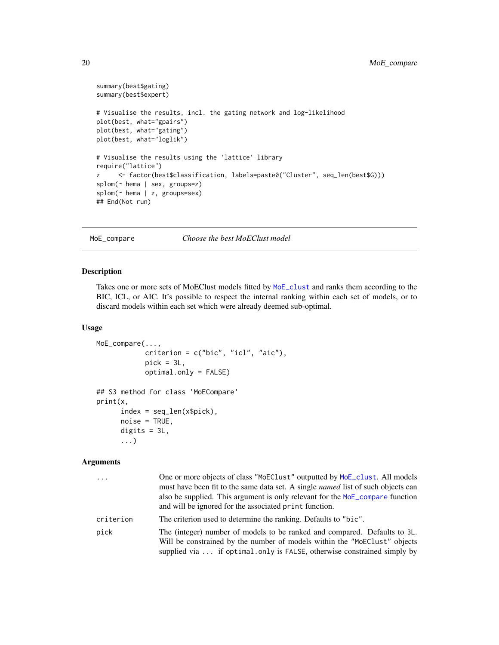```
summary(best$gating)
summary(best$expert)
# Visualise the results, incl. the gating network and log-likelihood
plot(best, what="gpairs")
plot(best, what="gating")
plot(best, what="loglik")
# Visualise the results using the 'lattice' library
require("lattice")
z <- factor(best$classification, labels=paste0("Cluster", seq_len(best$G)))
splom(~ hema | sex, groups=z)
splom(~ hema | z, groups=sex)
## End(Not run)
```

```
MoE_compare Choose the best MoEClust model
```
#### Description

Takes one or more sets of MoEClust models fitted by [MoE\\_clust](#page-13-1) and ranks them according to the BIC, ICL, or AIC. It's possible to respect the internal ranking within each set of models, or to discard models within each set which were already deemed sub-optimal.

#### Usage

```
MoE_compare(...,
            criterion = c("bic", "icl", "aic"),
            pick = 3L,optimal.only = FALSE)
## S3 method for class 'MoECompare'
print(x,
      index = seq_len(x$pick),
      noise = TRUE,digits = 3L,
      ...)
```
#### Arguments

| $\ddots$  | One or more objects of class "MoEClust" outputted by MoE_clust. All models<br>must have been fit to the same data set. A single named list of such objects can<br>also be supplied. This argument is only relevant for the MoE_compare function<br>and will be ignored for the associated print function. |
|-----------|-----------------------------------------------------------------------------------------------------------------------------------------------------------------------------------------------------------------------------------------------------------------------------------------------------------|
| criterion | The criterion used to determine the ranking. Defaults to "bic".                                                                                                                                                                                                                                           |
| pick      | The (integer) number of models to be ranked and compared. Defaults to 3L.<br>Will be constrained by the number of models within the "MoEClust" objects<br>supplied via  if optimal.only is FALSE, otherwise constrained simply by                                                                         |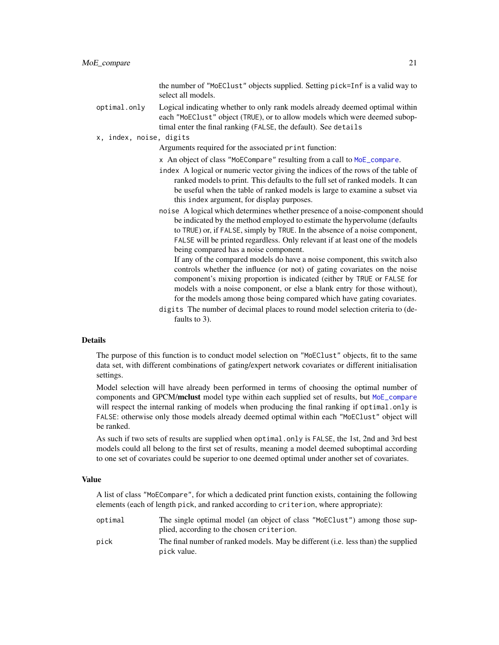the number of "MoEClust" objects supplied. Setting pick=Inf is a valid way to select all models.

<span id="page-20-0"></span>optimal.only Logical indicating whether to only rank models already deemed optimal within each "MoEClust" object (TRUE), or to allow models which were deemed suboptimal enter the final ranking (FALSE, the default). See details

#### x, index, noise, digits

Arguments required for the associated print function:

- x An object of class "MoECompare" resulting from a call to [MoE\\_compare](#page-19-1).
- index A logical or numeric vector giving the indices of the rows of the table of ranked models to print. This defaults to the full set of ranked models. It can be useful when the table of ranked models is large to examine a subset via this index argument, for display purposes.
- noise A logical which determines whether presence of a noise-component should be indicated by the method employed to estimate the hypervolume (defaults to TRUE) or, if FALSE, simply by TRUE. In the absence of a noise component, FALSE will be printed regardless. Only relevant if at least one of the models being compared has a noise component.

If any of the compared models do have a noise component, this switch also controls whether the influence (or not) of gating covariates on the noise component's mixing proportion is indicated (either by TRUE or FALSE for models with a noise component, or else a blank entry for those without), for the models among those being compared which have gating covariates.

digits The number of decimal places to round model selection criteria to (defaults to 3).

#### Details

The purpose of this function is to conduct model selection on "MoEClust" objects, fit to the same data set, with different combinations of gating/expert network covariates or different initialisation settings.

Model selection will have already been performed in terms of choosing the optimal number of components and GPCM/mclust model type within each supplied set of results, but [MoE\\_compare](#page-19-1) will respect the internal ranking of models when producing the final ranking if optimal.only is FALSE: otherwise only those models already deemed optimal within each "MoEClust" object will be ranked.

As such if two sets of results are supplied when optimal.only is FALSE, the 1st, 2nd and 3rd best models could all belong to the first set of results, meaning a model deemed suboptimal according to one set of covariates could be superior to one deemed optimal under another set of covariates.

#### Value

A list of class "MoECompare", for which a dedicated print function exists, containing the following elements (each of length pick, and ranked according to criterion, where appropriate):

- optimal The single optimal model (an object of class "MoEClust") among those supplied, according to the chosen criterion.
- pick The final number of ranked models. May be different (i.e. less than) the supplied pick value.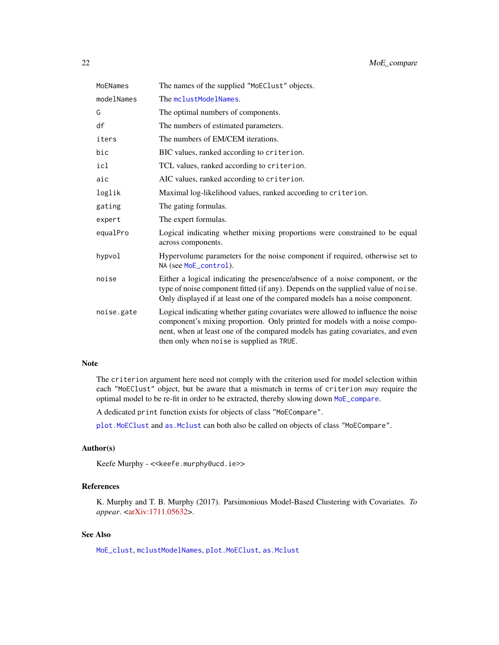<span id="page-21-0"></span>

| MoENames   | The names of the supplied "MoEClust" objects.                                                                                                                                                                                                                                                 |
|------------|-----------------------------------------------------------------------------------------------------------------------------------------------------------------------------------------------------------------------------------------------------------------------------------------------|
| modelNames | The mclustModelNames.                                                                                                                                                                                                                                                                         |
| G          | The optimal numbers of components.                                                                                                                                                                                                                                                            |
| df         | The numbers of estimated parameters.                                                                                                                                                                                                                                                          |
| iters      | The numbers of EM/CEM iterations.                                                                                                                                                                                                                                                             |
| bic        | BIC values, ranked according to criterion.                                                                                                                                                                                                                                                    |
| icl        | TCL values, ranked according to criterion.                                                                                                                                                                                                                                                    |
| aic        | AIC values, ranked according to criterion.                                                                                                                                                                                                                                                    |
| loglik     | Maximal log-likelihood values, ranked according to criterion.                                                                                                                                                                                                                                 |
| gating     | The gating formulas.                                                                                                                                                                                                                                                                          |
| expert     | The expert formulas.                                                                                                                                                                                                                                                                          |
| equalPro   | Logical indicating whether mixing proportions were constrained to be equal<br>across components.                                                                                                                                                                                              |
| hypvol     | Hypervolume parameters for the noise component if required, otherwise set to<br>NA (see MoE_control).                                                                                                                                                                                         |
| noise      | Either a logical indicating the presence/absence of a noise component, or the<br>type of noise component fitted (if any). Depends on the supplied value of noise.<br>Only displayed if at least one of the compared models has a noise component.                                             |
| noise.gate | Logical indicating whether gating covariates were allowed to influence the noise<br>component's mixing proportion. Only printed for models with a noise compo-<br>nent, when at least one of the compared models has gating covariates, and even<br>then only when noise is supplied as TRUE. |

### Note

The criterion argument here need not comply with the criterion used for model selection within each "MoEClust" object, but be aware that a mismatch in terms of criterion *may* require the optimal model to be re-fit in order to be extracted, thereby slowing down [MoE\\_compare](#page-19-1).

A dedicated print function exists for objects of class "MoECompare".

[plot.MoEClust](#page-48-1) and [as.Mclust](#page-6-1) can both also be called on objects of class "MoECompare".

### Author(s)

Keefe Murphy - << keefe.murphy@ucd.ie>>

### References

K. Murphy and T. B. Murphy (2017). Parsimonious Model-Based Clustering with Covariates. *To appear*. [<arXiv:1711.05632>](https://arxiv.org/abs/1711.05632).

### See Also

[MoE\\_clust](#page-13-1), [mclustModelNames](#page-0-0), [plot.MoEClust](#page-48-1), [as.Mclust](#page-6-1)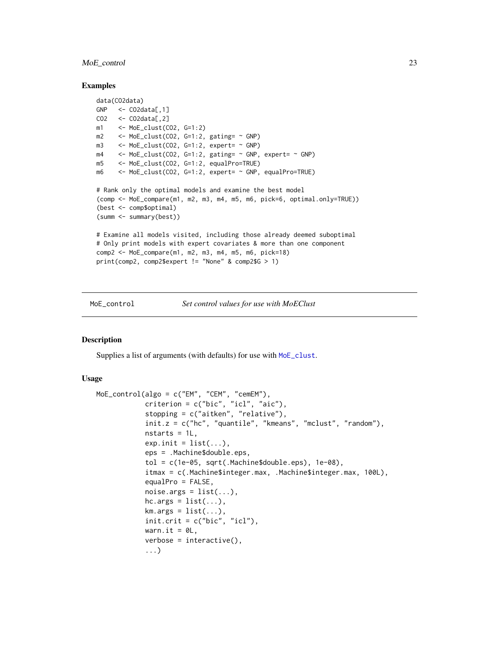### <span id="page-22-0"></span>MoE\_control 23

#### Examples

```
data(CO2data)
GNP \leq CO2data[,1]
CO2 \leq COO2data[,2]
m1 <- MoE_clust(CO2, G=1:2)
m2 \le -\text{MoE}_clust(CO2, G=1:2, gating = \text{GNP})m3 \leq MoE_clust(CO2, G=1:2, expert= \sim GNP)
m4 \leq MoE_{\text{clust}}(CO2, G=1:2, gating = \sim GNP, \text{expert} = \sim GNP)m5 <- MoE_clust(CO2, G=1:2, equalPro=TRUE)
m6 <- MoE_clust(CO2, G=1:2, expert= ~ GNP, equalPro=TRUE)
# Rank only the optimal models and examine the best model
(comp <- MoE_compare(m1, m2, m3, m4, m5, m6, pick=6, optimal.only=TRUE))
(best <- comp$optimal)
(summ <- summary(best))
# Examine all models visited, including those already deemed suboptimal
# Only print models with expert covariates & more than one component
comp2 <- MoE_compare(m1, m2, m3, m4, m5, m6, pick=18)
print(comp2, comp2$expert != "None" & comp2$G > 1)
```
<span id="page-22-1"></span>

#### MoE\_control *Set control values for use with MoEClust*

### Description

Supplies a list of arguments (with defaults) for use with [MoE\\_clust](#page-13-1).

#### Usage

```
MoE_control(algo = c("EM", "CEM", "cemEM"),
            criterion = c("bic", "icl", "aic"),
            stopping = c("aitken", "relative"),
            init.z = c("hc", "quantile", "kmeans", "mclust", "random"),
            nstarts = 1L,
            exp.init = list(...),eps = .Machine$double.eps,
            tol = c(1e-05, sqrt(.Machine$double.eps), 1e-08),
            itmax = c(.Machine$integer.max, .Machine$integer.max, 100L),
            equalPro = FALSE,
            noise.args = list(...),hc.args = list(...),km.args = list(...),init.crit = c("bic", "icl"),warn.it = OL,
            verbose = interactive(),
            ...)
```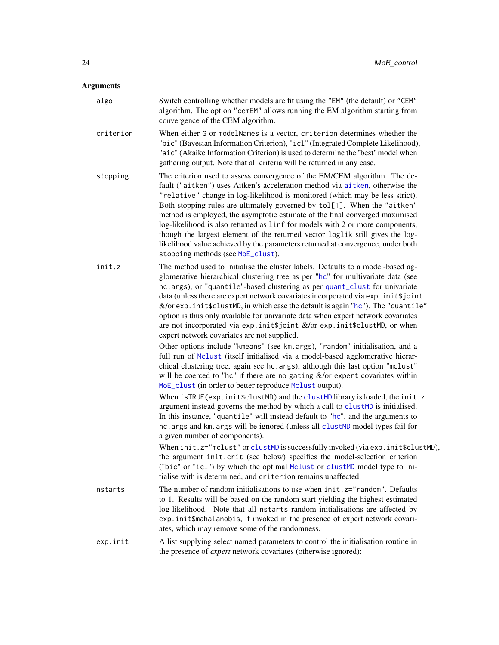### <span id="page-23-0"></span>Arguments

| $-$       |                                                                                                                                                                                                                                                                                                                                                                                                                                                                                                                                                                                                                                                                                                 |
|-----------|-------------------------------------------------------------------------------------------------------------------------------------------------------------------------------------------------------------------------------------------------------------------------------------------------------------------------------------------------------------------------------------------------------------------------------------------------------------------------------------------------------------------------------------------------------------------------------------------------------------------------------------------------------------------------------------------------|
| algo      | Switch controlling whether models are fit using the "EM" (the default) or "CEM"<br>algorithm. The option "cemEM" allows running the EM algorithm starting from<br>convergence of the CEM algorithm.                                                                                                                                                                                                                                                                                                                                                                                                                                                                                             |
| criterion | When either G or modelNames is a vector, criterion determines whether the<br>"bic" (Bayesian Information Criterion), "icl" (Integrated Complete Likelihood),<br>"aic" (Akaike Information Criterion) is used to determine the 'best' model when<br>gathering output. Note that all criteria will be returned in any case.                                                                                                                                                                                                                                                                                                                                                                       |
| stopping  | The criterion used to assess convergence of the EM/CEM algorithm. The de-<br>fault ("aitken") uses Aitken's acceleration method via aitken, otherwise the<br>"relative" change in log-likelihood is monitored (which may be less strict).<br>Both stopping rules are ultimately governed by tol[1]. When the "aitken"<br>method is employed, the asymptotic estimate of the final converged maximised<br>log-likelihood is also returned as linf for models with 2 or more components,<br>though the largest element of the returned vector loglik still gives the log-<br>likelihood value achieved by the parameters returned at convergence, under both<br>stopping methods (see MoE_clust). |
| init.z    | The method used to initialise the cluster labels. Defaults to a model-based ag-<br>glomerative hierarchical clustering tree as per "hc" for multivariate data (see<br>hc.args), or "quantile"-based clustering as per quant_clust for univariate<br>data (unless there are expert network covariates incorporated via exp. init\$joint<br>$\&$ /or exp. init \$clustMD, in which case the default is again "hc"). The "quantile"<br>option is thus only available for univariate data when expert network covariates<br>are not incorporated via exp. init \$joint &/or exp. init \$clustMD, or when<br>expert network covariates are not supplied.                                             |
|           | Other options include "kmeans" (see km. args), "random" initialisation, and a<br>full run of Mclust (itself initialised via a model-based agglomerative hierar-<br>chical clustering tree, again see hc. args), although this last option "mclust"<br>will be coerced to "hc" if there are no gating $&$ /or expert covariates within<br>MoE_clust (in order to better reproduce Mclust output).                                                                                                                                                                                                                                                                                                |
|           | When isTRUE (exp. init\$clustMD) and the clustMD library is loaded, the init.z<br>argument instead governs the method by which a call to clustMD is initialised.<br>In this instance, "quantile" will instead default to "hc", and the arguments to<br>hc. args and km. args will be ignored (unless all clustMD model types fail for<br>a given number of components).                                                                                                                                                                                                                                                                                                                         |
|           | When init.z="mclust" or clustMD is successfully invoked (via exp. init\$clustMD),<br>the argument init.crit (see below) specifies the model-selection criterion<br>("bic" or "icl") by which the optimal Mclust or clustMD model type to ini-<br>tialise with is determined, and criterion remains unaffected.                                                                                                                                                                                                                                                                                                                                                                                  |
| nstarts   | The number of random initialisations to use when $init.z="r$ andom". Defaults<br>to 1. Results will be based on the random start yielding the highest estimated<br>log-likelihood. Note that all nstarts random initialisations are affected by<br>exp.init\$mahalanobis, if invoked in the presence of expert network covari-<br>ates, which may remove some of the randomness.                                                                                                                                                                                                                                                                                                                |
| exp.init  | A list supplying select named parameters to control the initialisation routine in<br>the presence of <i>expert</i> network covariates (otherwise ignored):                                                                                                                                                                                                                                                                                                                                                                                                                                                                                                                                      |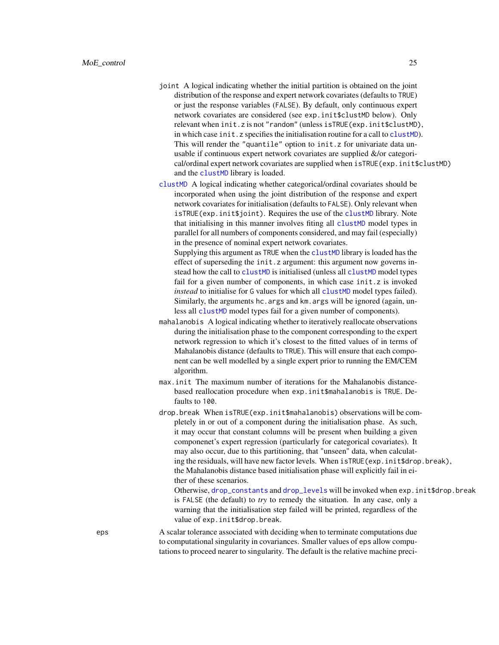- <span id="page-24-0"></span>joint A logical indicating whether the initial partition is obtained on the joint distribution of the response and expert network covariates (defaults to TRUE) or just the response variables (FALSE). By default, only continuous expert network covariates are considered (see exp.init\$clustMD below). Only relevant when init.z is not "random" (unless isTRUE(exp.init\$clustMD), in which case init.z specifies the initialisation routine for a call to [clustMD](#page-0-0)). This will render the "quantile" option to init. z for univariate data unusable if continuous expert network covariates are supplied &/or categorical/ordinal expert network covariates are supplied when isTRUE(exp.init\$clustMD) and the [clustMD](#page-0-0) library is loaded.
- [clustMD](#page-0-0) A logical indicating whether categorical/ordinal covariates should be incorporated when using the joint distribution of the response and expert network covariates for initialisation (defaults to FALSE). Only relevant when isTRUE(exp.init\$joint). Requires the use of the [clustMD](#page-0-0) library. Note that initialising in this manner involves fiting all [clustMD](#page-0-0) model types in parallel for all numbers of components considered, and may fail (especially) in the presence of nominal expert network covariates.

Supplying this argument as TRUE when the [clustMD](#page-0-0) library is loaded has the effect of superseding the init.z argument: this argument now governs instead how the call to [clustMD](#page-0-0) is initialised (unless all clustMD model types fail for a given number of components, in which case init.z is invoked *instead* to initialise for G values for which all [clustMD](#page-0-0) model types failed). Similarly, the arguments hc. args and km. args will be ignored (again, unless all [clustMD](#page-0-0) model types fail for a given number of components).

- mahalanobis A logical indicating whether to iteratively reallocate observations during the initialisation phase to the component corresponding to the expert network regression to which it's closest to the fitted values of in terms of Mahalanobis distance (defaults to TRUE). This will ensure that each component can be well modelled by a single expert prior to running the EM/CEM algorithm.
- max.init The maximum number of iterations for the Mahalanobis distancebased reallocation procedure when exp.init\$mahalanobis is TRUE. Defaults to 100.
- drop.break When isTRUE(exp.init\$mahalanobis) observations will be completely in or out of a component during the initialisation phase. As such, it may occur that constant columns will be present when building a given componenet's expert regression (particularly for categorical covariates). It may also occur, due to this partitioning, that "unseen" data, when calculating the residuals, will have new factor levels. When isTRUE(exp.init\$drop.break), the Mahalanobis distance based initialisation phase will explicitly fail in either of these scenarios.

Otherwise, [drop\\_constants](#page-8-1) and [drop\\_levels](#page-10-1) will be invoked when exp.init\$drop.break is FALSE (the default) to *try* to remedy the situation. In any case, only a warning that the initialisation step failed will be printed, regardless of the value of exp.init\$drop.break.

eps A scalar tolerance associated with deciding when to terminate computations due to computational singularity in covariances. Smaller values of eps allow computations to proceed nearer to singularity. The default is the relative machine preci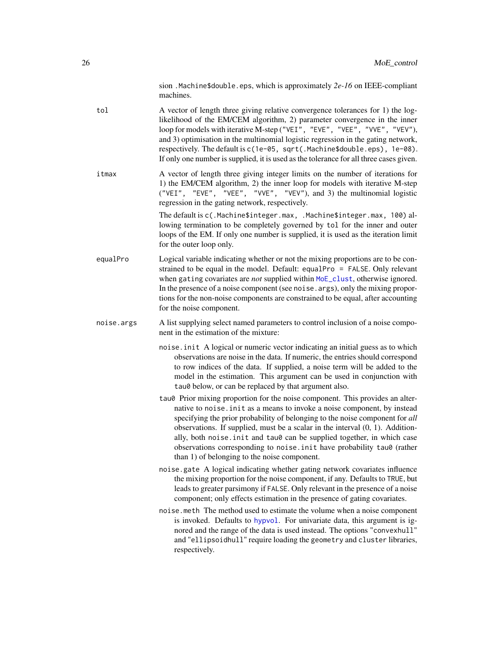sion .Machine\$double.eps, which is approximately *2e-16* on IEEE-compliant machines.

- <span id="page-25-0"></span>tol A vector of length three giving relative convergence tolerances for 1) the loglikelihood of the EM/CEM algorithm, 2) parameter convergence in the inner loop for models with iterative M-step ("VEI", "EVE", "VEE", "VVE", "VEV"), and 3) optimisation in the multinomial logistic regression in the gating network, respectively. The default is c(1e-05, sqrt(.Machine\$double.eps), 1e-08). If only one number is supplied, it is used as the tolerance for all three cases given.
- itmax A vector of length three giving integer limits on the number of iterations for 1) the EM/CEM algorithm, 2) the inner loop for models with iterative M-step ("VEI", "EVE", "VEE", "VVE", "VEV"), and 3) the multinomial logistic regression in the gating network, respectively.

The default is c(.Machine\$integer.max, .Machine\$integer.max, 100) allowing termination to be completely governed by tol for the inner and outer loops of the EM. If only one number is supplied, it is used as the iteration limit for the outer loop only.

equalPro Logical variable indicating whether or not the mixing proportions are to be constrained to be equal in the model. Default: equalPro = FALSE. Only relevant when gating covariates are *not* supplied within [MoE\\_clust](#page-13-1), otherwise ignored. In the presence of a noise component (see noise.args), only the mixing proportions for the non-noise components are constrained to be equal, after accounting for the noise component.

noise.args A list supplying select named parameters to control inclusion of a noise component in the estimation of the mixture:

- noise.init A logical or numeric vector indicating an initial guess as to which observations are noise in the data. If numeric, the entries should correspond to row indices of the data. If supplied, a noise term will be added to the model in the estimation. This argument can be used in conjunction with tau0 below, or can be replaced by that argument also.
- tau0 Prior mixing proportion for the noise component. This provides an alternative to noise.init as a means to invoke a noise component, by instead specifying the prior probability of belonging to the noise component for *all* observations. If supplied, must be a scalar in the interval (0, 1). Additionally, both noise. init and tau0 can be supplied together, in which case observations corresponding to noise.init have probability tau0 (rather than 1) of belonging to the noise component.
- noise.gate A logical indicating whether gating network covariates influence the mixing proportion for the noise component, if any. Defaults to TRUE, but leads to greater parsimony if FALSE. Only relevant in the presence of a noise component; only effects estimation in the presence of gating covariates.
- noise.meth The method used to estimate the volume when a noise component is invoked. Defaults to [hypvol](#page-0-0). For univariate data, this argument is ignored and the range of the data is used instead. The options "convexhull" and "ellipsoidhull" require loading the geometry and cluster libraries, respectively.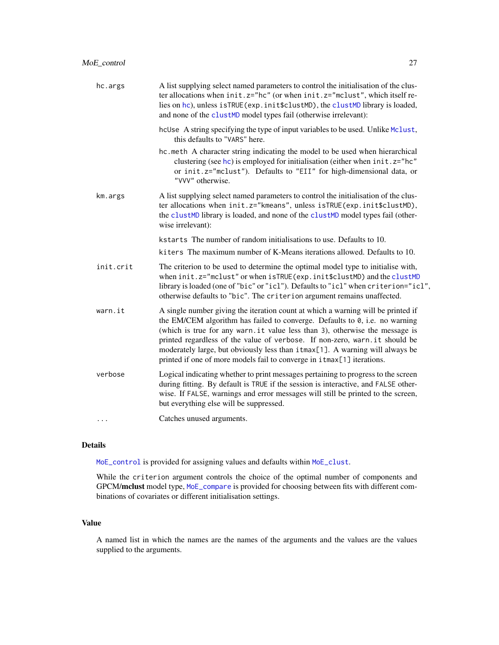<span id="page-26-0"></span>

| hc.args   | A list supplying select named parameters to control the initialisation of the clus-<br>ter allocations when init.z="hc" (or when init.z="mclust", which itself re-<br>lies on hc), unless isTRUE (exp. init \$clustMD), the clustMD library is loaded,<br>and none of the clustMD model types fail (otherwise irrelevant):                                                                                                                                                                     |
|-----------|------------------------------------------------------------------------------------------------------------------------------------------------------------------------------------------------------------------------------------------------------------------------------------------------------------------------------------------------------------------------------------------------------------------------------------------------------------------------------------------------|
|           | hcUse A string specifying the type of input variables to be used. Unlike Mclust,<br>this defaults to "VARS" here.                                                                                                                                                                                                                                                                                                                                                                              |
|           | hc.meth A character string indicating the model to be used when hierarchical<br>clustering (see hc) is employed for initialisation (either when init. z="hc"<br>or init.z="mclust"). Defaults to "EII" for high-dimensional data, or<br>"VVV" otherwise.                                                                                                                                                                                                                                       |
| km.args   | A list supplying select named parameters to control the initialisation of the clus-<br>ter allocations when init.z="kmeans", unless isTRUE(exp.init\$clustMD),<br>the clustMD library is loaded, and none of the clustMD model types fail (other-<br>wise irrelevant):                                                                                                                                                                                                                         |
|           | kstarts The number of random initialisations to use. Defaults to 10.                                                                                                                                                                                                                                                                                                                                                                                                                           |
|           | kiters The maximum number of K-Means iterations allowed. Defaults to 10.                                                                                                                                                                                                                                                                                                                                                                                                                       |
| init.crit | The criterion to be used to determine the optimal model type to initialise with,<br>when init.z="mclust" or when isTRUE(exp.init\$clustMD) and the clustMD<br>library is loaded (one of "bic" or "icl"). Defaults to "icl" when criterion="icl",<br>otherwise defaults to "bic". The criterion argument remains unaffected.                                                                                                                                                                    |
| warn.it   | A single number giving the iteration count at which a warning will be printed if<br>the EM/CEM algorithm has failed to converge. Defaults to $\theta$ , i.e. no warning<br>(which is true for any warn.it value less than 3), otherwise the message is<br>printed regardless of the value of verbose. If non-zero, warn.it should be<br>moderately large, but obviously less than itmax[1]. A warning will always be<br>printed if one of more models fail to converge in itmax[1] iterations. |
| verbose   | Logical indicating whether to print messages pertaining to progress to the screen<br>during fitting. By default is TRUE if the session is interactive, and FALSE other-<br>wise. If FALSE, warnings and error messages will still be printed to the screen,<br>but everything else will be suppressed.                                                                                                                                                                                         |
| .         | Catches unused arguments.                                                                                                                                                                                                                                                                                                                                                                                                                                                                      |
|           |                                                                                                                                                                                                                                                                                                                                                                                                                                                                                                |

### Details

[MoE\\_control](#page-22-1) is provided for assigning values and defaults within [MoE\\_clust](#page-13-1).

While the criterion argument controls the choice of the optimal number of components and GPCM/mclust model type, [MoE\\_compare](#page-19-1) is provided for choosing between fits with different combinations of covariates or different initialisation settings.

### Value

A named list in which the names are the names of the arguments and the values are the values supplied to the arguments.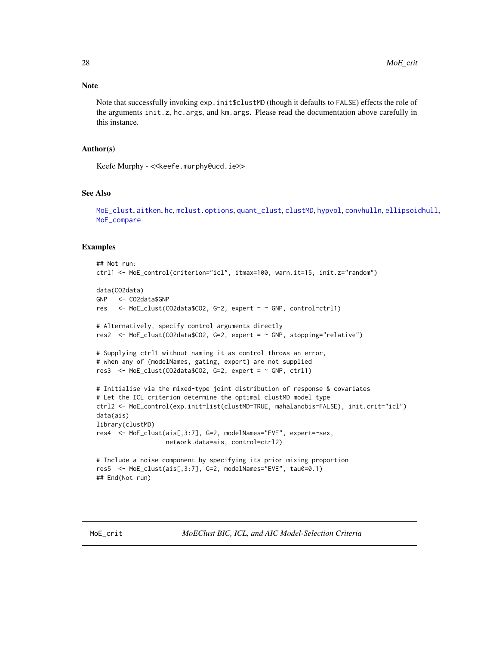### <span id="page-27-0"></span>Note

Note that successfully invoking exp.init \$clustMD (though it defaults to FALSE) effects the role of the arguments init.z, hc.args, and km.args. Please read the documentation above carefully in this instance.

#### Author(s)

Keefe Murphy - << keefe.murphy@ucd.ie>>

#### See Also

[MoE\\_clust](#page-13-1), [aitken](#page-4-1), [hc](#page-0-0), [mclust.options](#page-0-0), [quant\\_clust](#page-52-1), [clustMD](#page-0-0), [hypvol](#page-0-0), [convhulln](#page-0-0), [ellipsoidhull](#page-0-0), [MoE\\_compare](#page-19-1)

#### Examples

```
## Not run:
ctrl1 <- MoE_control(criterion="icl", itmax=100, warn.it=15, init.z="random")
data(CO2data)
GNP <- CO2data$GNP
res \leq MoE_clust(CO2data$CO2, G=2, expert = \sim GNP, control=ctrl1)
# Alternatively, specify control arguments directly
res2 <- MoE_clust(CO2data$CO2, G=2, expert = ~ GNP, stopping="relative")
# Supplying ctrl1 without naming it as control throws an error,
# when any of {modelNames, gating, expert} are not supplied
res3 \leq MoE_clust(CO2data$CO2, G=2, expert = \sim GNP, ctrl1)
# Initialise via the mixed-type joint distribution of response & covariates
# Let the ICL criterion determine the optimal clustMD model type
ctrl2 <- MoE_control(exp.init=list(clustMD=TRUE, mahalanobis=FALSE), init.crit="icl")
data(ais)
library(clustMD)
res4 <- MoE_clust(ais[,3:7], G=2, modelNames="EVE", expert=~sex,
                   network.data=ais, control=ctrl2)
# Include a noise component by specifying its prior mixing proportion
res5 <- MoE_clust(ais[,3:7], G=2, modelNames="EVE", tau0=0.1)
## End(Not run)
```
<span id="page-27-1"></span>MoE\_crit *MoEClust BIC, ICL, and AIC Model-Selection Criteria*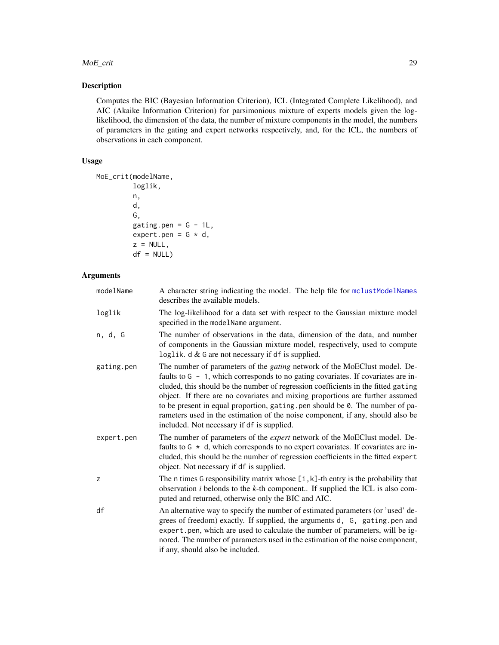#### <span id="page-28-0"></span>MoE\_crit 29

### Description

Computes the BIC (Bayesian Information Criterion), ICL (Integrated Complete Likelihood), and AIC (Akaike Information Criterion) for parsimonious mixture of experts models given the loglikelihood, the dimension of the data, the number of mixture components in the model, the numbers of parameters in the gating and expert networks respectively, and, for the ICL, the numbers of observations in each component.

### Usage

```
MoE_crit(modelName,
         loglik,
         n,
         d,
         G,
         gating.pen = G - 1L,
         expert.pen = G * d,
         z = NULL,df = NULL
```
### Arguments

| modelName  | A character string indicating the model. The help file for mclustModelNames<br>describes the available models.                                                                                                                                                                                                                                                                                                                                                                                                                                                  |
|------------|-----------------------------------------------------------------------------------------------------------------------------------------------------------------------------------------------------------------------------------------------------------------------------------------------------------------------------------------------------------------------------------------------------------------------------------------------------------------------------------------------------------------------------------------------------------------|
| loglik     | The log-likelihood for a data set with respect to the Gaussian mixture model<br>specified in the modelName argument.                                                                                                                                                                                                                                                                                                                                                                                                                                            |
| n, d, G    | The number of observations in the data, dimension of the data, and number<br>of components in the Gaussian mixture model, respectively, used to compute<br>loglik. $d \& G$ are not necessary if df is supplied.                                                                                                                                                                                                                                                                                                                                                |
| gating.pen | The number of parameters of the <i>gating</i> network of the MoEClust model. De-<br>faults to $G - 1$ , which corresponds to no gating covariates. If covariates are in-<br>cluded, this should be the number of regression coefficients in the fitted gating<br>object. If there are no covariates and mixing proportions are further assumed<br>to be present in equal proportion, gating .pen should be 0. The number of pa-<br>rameters used in the estimation of the noise component, if any, should also be<br>included. Not necessary if df is supplied. |
| expert.pen | The number of parameters of the expert network of the MoEClust model. De-<br>faults to $G * d$ , which corresponds to no expert covariates. If covariates are in-<br>cluded, this should be the number of regression coefficients in the fitted expert<br>object. Not necessary if df is supplied.                                                                                                                                                                                                                                                              |
| z          | The n times G responsibility matrix whose $[i, k]$ -th entry is the probability that<br>observation $i$ belonds to the $k$ -th component If supplied the ICL is also com-<br>puted and returned, otherwise only the BIC and AIC.                                                                                                                                                                                                                                                                                                                                |
| df         | An alternative way to specify the number of estimated parameters (or 'used' de-<br>grees of freedom) exactly. If supplied, the arguments d, G, gating.pen and<br>expert.pen, which are used to calculate the number of parameters, will be ig-<br>nored. The number of parameters used in the estimation of the noise component,<br>if any, should also be included.                                                                                                                                                                                            |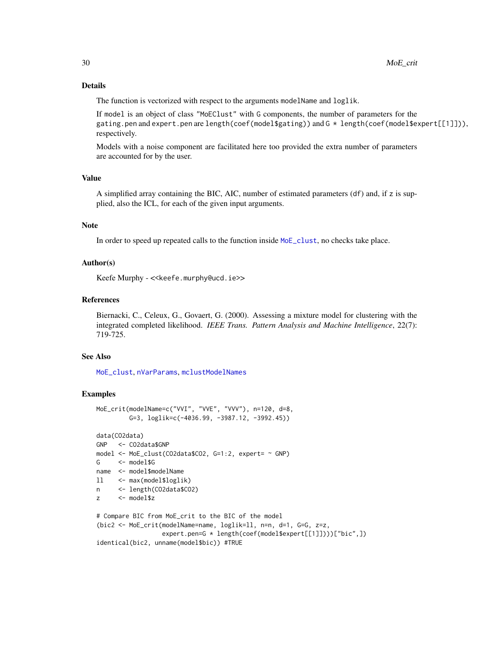### Details

The function is vectorized with respect to the arguments modelName and loglik.

If model is an object of class "MoEClust" with G components, the number of parameters for the gating.pen and expert.pen are length(coef(model\$gating)) and G \* length(coef(model\$expert[[1]])), respectively.

Models with a noise component are facilitated here too provided the extra number of parameters are accounted for by the user.

#### Value

A simplified array containing the BIC, AIC, number of estimated parameters (df) and, if z is supplied, also the ICL, for each of the given input arguments.

#### **Note**

In order to speed up repeated calls to the function inside  $MoE$ <sub>clust</sub>, no checks take place.

#### Author(s)

Keefe Murphy - << keefe.murphy@ucd.ie>>

### References

Biernacki, C., Celeux, G., Govaert, G. (2000). Assessing a mixture model for clustering with the integrated completed likelihood. *IEEE Trans. Pattern Analysis and Machine Intelligence*, 22(7): 719-725.

#### See Also

[MoE\\_clust](#page-13-1), [nVarParams](#page-0-0), [mclustModelNames](#page-0-0)

```
MoE_crit(modelName=c("VVI", "VVE", "VVV"), n=120, d=8,
         G=3, loglik=c(-4036.99, -3987.12, -3992.45))
data(CO2data)
```

```
GNP <- CO2data$GNP
model <- MoE_clust(CO2data$CO2, G=1:2, expert= ~ GNP)
G <- model$G
name <- model$modelName
ll <- max(model$loglik)
n <- length(CO2data$CO2)
z <- model$z
# Compare BIC from MoE_crit to the BIC of the model
(bic2 <- MoE_crit(modelName=name, loglik=ll, n=n, d=1, G=G, z=z,
```

```
expert.pen=G * length(coef(model$expert[[1]])))["bic",])
identical(bic2, unname(model$bic)) #TRUE
```
<span id="page-29-0"></span>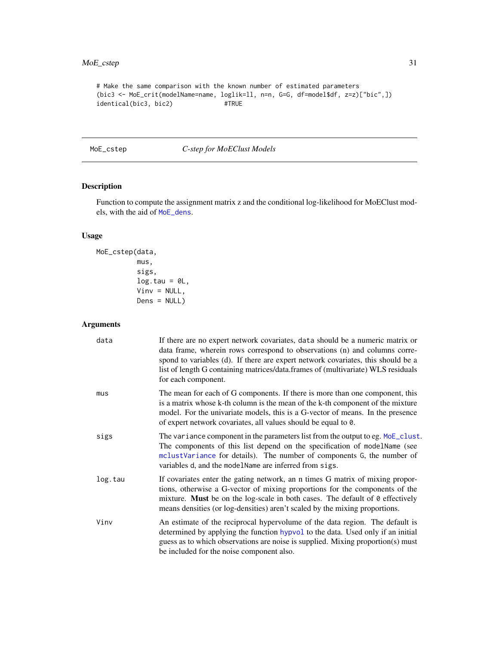### <span id="page-30-0"></span>MoE\_cstep 31

```
# Make the same comparison with the known number of estimated parameters
(bic3 <- MoE_crit(modelName=name, loglik=ll, n=n, G=G, df=model$df, z=z)["bic",])
identical(bic3, bic2) #TRUE
```
<span id="page-30-1"></span>MoE\_cstep *C-step for MoEClust Models*

### Description

Function to compute the assignment matrix z and the conditional log-likelihood for MoEClust models, with the aid of [MoE\\_dens](#page-32-1).

### Usage

```
MoE_cstep(data,
          mus,
          sigs,
          log.tau = 0L,Vinv = NULL,
          Dens = NULL)
```
### Arguments

| data    | If there are no expert network covariates, data should be a numeric matrix or<br>data frame, wherein rows correspond to observations (n) and columns corre-<br>spond to variables (d). If there are expert network covariates, this should be a<br>list of length G containing matrices/data.frames of (multivariate) WLS residuals<br>for each component. |
|---------|------------------------------------------------------------------------------------------------------------------------------------------------------------------------------------------------------------------------------------------------------------------------------------------------------------------------------------------------------------|
| mus     | The mean for each of G components. If there is more than one component, this<br>is a matrix whose k-th column is the mean of the k-th component of the mixture<br>model. For the univariate models, this is a G-vector of means. In the presence<br>of expert network covariates, all values should be equal to 0.                                         |
| sigs    | The variance component in the parameters list from the output to eg. MoE_clust.<br>The components of this list depend on the specification of modelName (see<br>mclustVariance for details). The number of components G, the number of<br>variables d, and the modelName are inferred from sigs.                                                           |
| log.tau | If covariates enter the gating network, an n times G matrix of mixing propor-<br>tions, otherwise a G-vector of mixing proportions for the components of the<br>mixture. Must be on the log-scale in both cases. The default of 0 effectively<br>means densities (or log-densities) aren't scaled by the mixing proportions.                               |
| Vinv    | An estimate of the reciprocal hypervolume of the data region. The default is<br>determined by applying the function hypvol to the data. Used only if an initial<br>guess as to which observations are noise is supplied. Mixing proportion(s) must<br>be included for the noise component also.                                                            |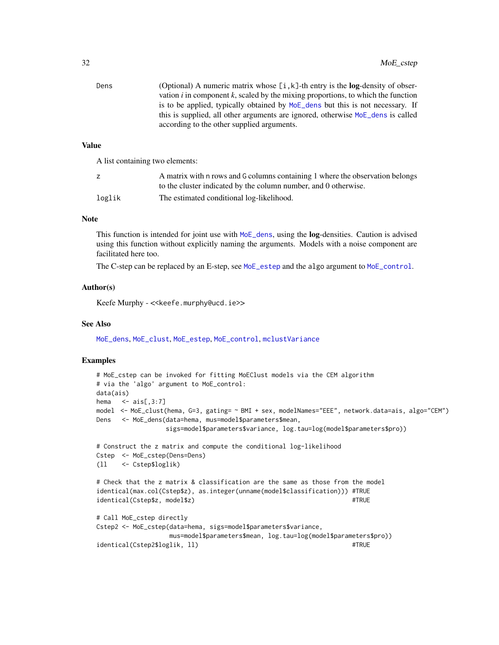<span id="page-31-0"></span>

| Dens | (Optional) A numeric matrix whose $[i, k]$ -th entry is the <b>log</b> -density of obser- |
|------|-------------------------------------------------------------------------------------------|
|      | vation $i$ in component $k$ , scaled by the mixing proportions, to which the function     |
|      | is to be applied, typically obtained by MoE_dens but this is not necessary. If            |
|      | this is supplied, all other arguments are ignored, otherwise MoE_dens is called           |
|      | according to the other supplied arguments.                                                |

#### Value

A list containing two elements:

|        | A matrix with n rows and G columns containing 1 where the observation belongs |
|--------|-------------------------------------------------------------------------------|
|        | to the cluster indicated by the column number, and 0 otherwise.               |
| loglik | The estimated conditional log-likelihood.                                     |

#### Note

This function is intended for joint use with [MoE\\_dens](#page-32-1), using the log-densities. Caution is advised using this function without explicitly naming the arguments. Models with a noise component are facilitated here too.

The C-step can be replaced by an E-step, see [MoE\\_estep](#page-33-1) and the algo argument to [MoE\\_control](#page-22-1).

#### Author(s)

Keefe Murphy - << keefe.murphy@ucd.ie>>

#### See Also

[MoE\\_dens](#page-32-1), [MoE\\_clust](#page-13-1), [MoE\\_estep](#page-33-1), [MoE\\_control](#page-22-1), [mclustVariance](#page-0-0)

```
# MoE_cstep can be invoked for fitting MoEClust models via the CEM algorithm
# via the 'algo' argument to MoE_control:
data(ais)
hema \leq - \text{ais}[, 3:7]model <- MoE_clust(hema, G=3, gating= ~ BMI + sex, modelNames="EEE", network.data=ais, algo="CEM")
Dens <- MoE_dens(data=hema, mus=model$parameters$mean,
                 sigs=model$parameters$variance, log.tau=log(model$parameters$pro))
# Construct the z matrix and compute the conditional log-likelihood
Cstep <- MoE_cstep(Dens=Dens)
(ll <- Cstep$loglik)
# Check that the z matrix & classification are the same as those from the model
identical(max.col(Cstep$z), as.integer(unname(model$classification))) #TRUE
identical(Cstep$z, model$z) #TRUE
# Call MoE_cstep directly
Cstep2 <- MoE_cstep(data=hema, sigs=model$parameters$variance,
                  mus=model$parameters$mean, log.tau=log(model$parameters$pro))
identical(Cstep2$loglik, 11) #TRUE
```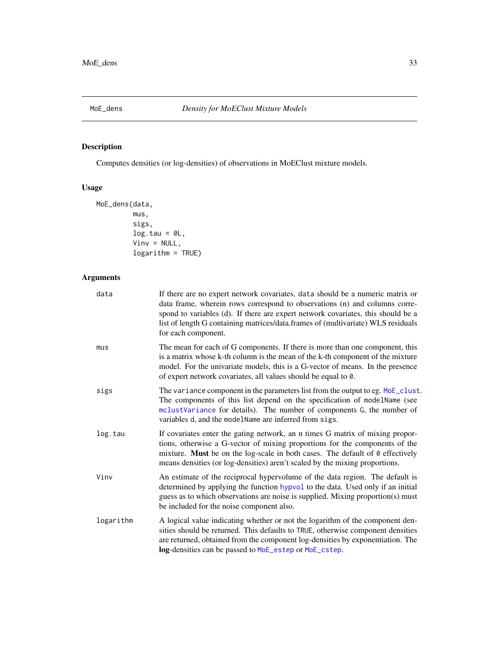<span id="page-32-1"></span><span id="page-32-0"></span>

## Description

Computes densities (or log-densities) of observations in MoEClust mixture models.

### Usage

```
MoE_dens(data,
         mus,
         sigs,
         log.tau = 0L,Vinv = NULL,
         logarithm = TRUE)
```
### Arguments

| data      | If there are no expert network covariates, data should be a numeric matrix or<br>data frame, wherein rows correspond to observations (n) and columns corre-<br>spond to variables (d). If there are expert network covariates, this should be a<br>list of length G containing matrices/data.frames of (multivariate) WLS residuals<br>for each component. |
|-----------|------------------------------------------------------------------------------------------------------------------------------------------------------------------------------------------------------------------------------------------------------------------------------------------------------------------------------------------------------------|
| mus       | The mean for each of G components. If there is more than one component, this<br>is a matrix whose k-th column is the mean of the k-th component of the mixture<br>model. For the univariate models, this is a G-vector of means. In the presence<br>of expert network covariates, all values should be equal to 0.                                         |
| sigs      | The variance component in the parameters list from the output to eg. MoE_clust.<br>The components of this list depend on the specification of modelName (see<br>mclustVariance for details). The number of components G, the number of<br>variables d, and the modelName are inferred from sigs.                                                           |
| log.tau   | If covariates enter the gating network, an n times G matrix of mixing propor-<br>tions, otherwise a G-vector of mixing proportions for the components of the<br>mixture. Must be on the log-scale in both cases. The default of 0 effectively<br>means densities (or log-densities) aren't scaled by the mixing proportions.                               |
| Vinv      | An estimate of the reciprocal hypervolume of the data region. The default is<br>determined by applying the function hypvol to the data. Used only if an initial<br>guess as to which observations are noise is supplied. Mixing proportion(s) must<br>be included for the noise component also.                                                            |
| logarithm | A logical value indicating whether or not the logarithm of the component den-<br>sities should be returned. This defaults to TRUE, otherwise component densities<br>are returned, obtained from the component log-densities by exponentiation. The<br>log-densities can be passed to MoE_estep or MoE_cstep.                                               |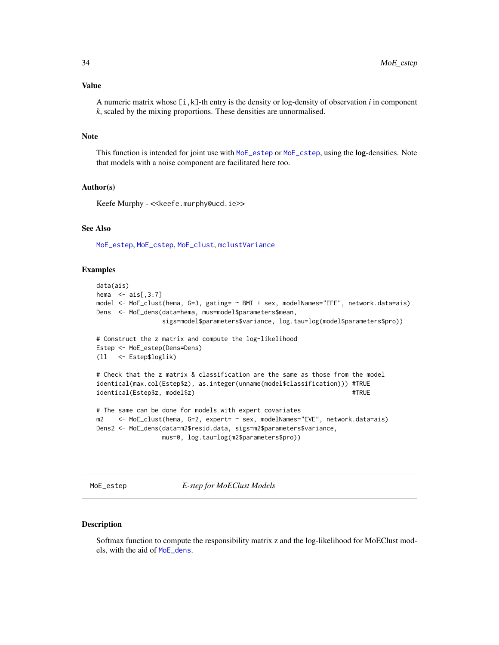#### <span id="page-33-0"></span>Value

A numeric matrix whose  $[i, k]$ -th entry is the density or log-density of observation *i* in component *k*, scaled by the mixing proportions. These densities are unnormalised.

#### Note

This function is intended for joint use with [MoE\\_estep](#page-33-1) or [MoE\\_cstep](#page-30-1), using the **log-densities**. Note that models with a noise component are facilitated here too.

### Author(s)

Keefe Murphy - << keefe.murphy@ucd.ie>>

### See Also

[MoE\\_estep](#page-33-1), [MoE\\_cstep](#page-30-1), [MoE\\_clust](#page-13-1), [mclustVariance](#page-0-0)

#### Examples

```
data(ais)
hema \le - ais[,3:7]
model <- MoE_clust(hema, G=3, gating= ~ BMI + sex, modelNames="EEE", network.data=ais)
Dens <- MoE_dens(data=hema, mus=model$parameters$mean,
                 sigs=model$parameters$variance, log.tau=log(model$parameters$pro))
# Construct the z matrix and compute the log-likelihood
Estep <- MoE_estep(Dens=Dens)
(ll <- Estep$loglik)
# Check that the z matrix & classification are the same as those from the model
identical(max.col(Estep$z), as.integer(unname(model$classification))) #TRUE
identical(Estep$z, model$z) #TRUE
# The same can be done for models with expert covariates
m2 <- MoE_clust(hema, G=2, expert= ~ sex, modelNames="EVE", network.data=ais)
Dens2 <- MoE_dens(data=m2$resid.data, sigs=m2$parameters$variance,
                 mus=0, log.tau=log(m2$parameters$pro))
```
<span id="page-33-1"></span>MoE\_estep *E-step for MoEClust Models*

#### Description

Softmax function to compute the responsibility matrix z and the log-likelihood for MoEClust models, with the aid of [MoE\\_dens](#page-32-1).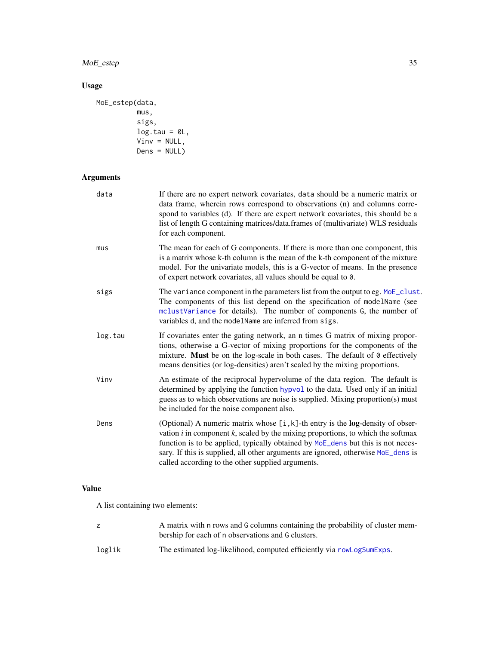<span id="page-34-0"></span>MoE\_estep 35

### Usage

```
MoE_estep(data,
         mus,
          sigs,
         log.tau = 0L,Vinv = NULL,Dens = NULL)
```
## Arguments

| data    | If there are no expert network covariates, data should be a numeric matrix or<br>data frame, wherein rows correspond to observations (n) and columns corre-<br>spond to variables (d). If there are expert network covariates, this should be a<br>list of length G containing matrices/data.frames of (multivariate) WLS residuals<br>for each component.                                           |
|---------|------------------------------------------------------------------------------------------------------------------------------------------------------------------------------------------------------------------------------------------------------------------------------------------------------------------------------------------------------------------------------------------------------|
| mus     | The mean for each of G components. If there is more than one component, this<br>is a matrix whose k-th column is the mean of the k-th component of the mixture<br>model. For the univariate models, this is a G-vector of means. In the presence<br>of expert network covariates, all values should be equal to 0.                                                                                   |
| sigs    | The variance component in the parameters list from the output to eg. MoE_clust.<br>The components of this list depend on the specification of modelName (see<br>mclustVariance for details). The number of components G, the number of<br>variables d, and the modelName are inferred from sigs.                                                                                                     |
| log.tau | If covariates enter the gating network, an n times G matrix of mixing propor-<br>tions, otherwise a G-vector of mixing proportions for the components of the<br>mixture. Must be on the log-scale in both cases. The default of 0 effectively<br>means densities (or log-densities) aren't scaled by the mixing proportions.                                                                         |
| Vinv    | An estimate of the reciprocal hypervolume of the data region. The default is<br>determined by applying the function hypvol to the data. Used only if an initial<br>guess as to which observations are noise is supplied. Mixing proportion(s) must<br>be included for the noise component also.                                                                                                      |
| Dens    | (Optional) A numeric matrix whose [i, k]-th entry is the log-density of obser-<br>vation $i$ in component $k$ , scaled by the mixing proportions, to which the softmax<br>function is to be applied, typically obtained by MoE_dens but this is not neces-<br>sary. If this is supplied, all other arguments are ignored, otherwise MoE_dens is<br>called according to the other supplied arguments. |

### Value

A list containing two elements:

|        | A matrix with n rows and G columns containing the probability of cluster mem-<br>bership for each of n observations and G clusters. |
|--------|-------------------------------------------------------------------------------------------------------------------------------------|
| loglik | The estimated log-likelihood, computed efficiently via rowLogSumExps.                                                               |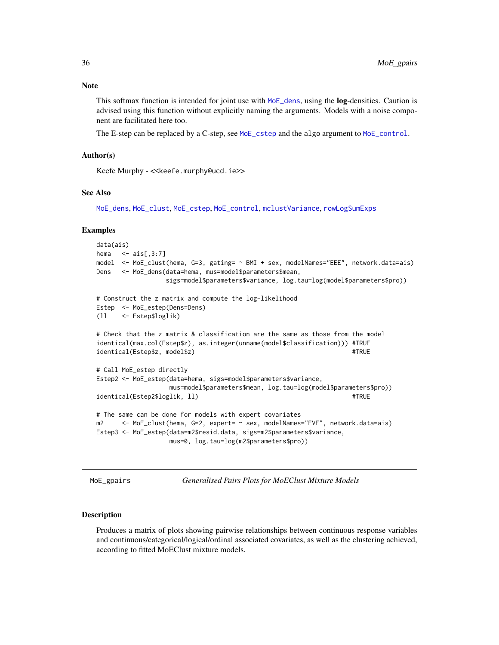<span id="page-35-0"></span>This softmax function is intended for joint use with [MoE\\_dens](#page-32-1), using the **log**-densities. Caution is advised using this function without explicitly naming the arguments. Models with a noise component are facilitated here too.

The E-step can be replaced by a C-step, see [MoE\\_cstep](#page-30-1) and the algo argument to [MoE\\_control](#page-22-1).

### Author(s)

Keefe Murphy - << keefe.murphy@ucd.ie>>

#### See Also

[MoE\\_dens](#page-32-1), [MoE\\_clust](#page-13-1), [MoE\\_cstep](#page-30-1), [MoE\\_control](#page-22-1), [mclustVariance](#page-0-0), [rowLogSumExps](#page-0-0)

#### Examples

```
data(ais)
hema \le - ais[,3:7]
model <- MoE_clust(hema, G=3, gating= ~ BMI + sex, modelNames="EEE", network.data=ais)
Dens <- MoE_dens(data=hema, mus=model$parameters$mean,
                 sigs=model$parameters$variance, log.tau=log(model$parameters$pro))
# Construct the z matrix and compute the log-likelihood
Estep <- MoE_estep(Dens=Dens)
(ll <- Estep$loglik)
# Check that the z matrix & classification are the same as those from the model
identical(max.col(Estep$z), as.integer(unname(model$classification))) #TRUE
identical(Estep$z, model$z) #TRUE
# Call MoE_estep directly
Estep2 <- MoE_estep(data=hema, sigs=model$parameters$variance,
                  mus=model$parameters$mean, log.tau=log(model$parameters$pro))
identical(Estep2$loglik, 11) #TRUE
# The same can be done for models with expert covariates
m2 <- MoE_clust(hema, G=2, expert= ~ sex, modelNames="EVE", network.data=ais)
Estep3 <- MoE_estep(data=m2$resid.data, sigs=m2$parameters$variance,
                  mus=0, log.tau=log(m2$parameters$pro))
```
<span id="page-35-1"></span>MoE\_gpairs *Generalised Pairs Plots for MoEClust Mixture Models*

#### **Description**

Produces a matrix of plots showing pairwise relationships between continuous response variables and continuous/categorical/logical/ordinal associated covariates, as well as the clustering achieved, according to fitted MoEClust mixture models.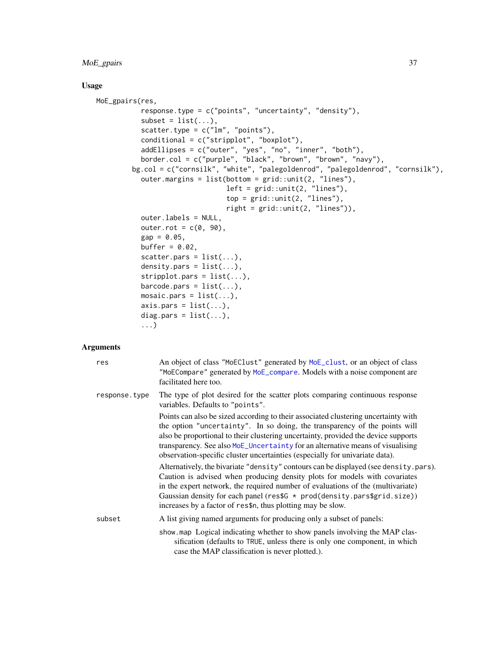### <span id="page-36-0"></span>MoE\_gpairs 37

### Usage

```
MoE_gpairs(res,
           response.type = c("points", "uncertainty", "density"),
           subset = list(...),scatter.type = c("lm", "points"),conditional = c("stripplot", "boxplot"),
           addEllipses = c("outer", "yes", "no", "inner", "both"),
           border.col = c("purple", "black", "brown", "brown", "navy"),
        bg.col = c("cornsilk", "white", "palegoldenrod", "palegoldenrod", "cornsilk"),
           outer.margins = list(bottom = grid::unit(2, "lines"),
                                left = grid::unit(2, "lines"),top = grid::unit(2, "lines"),right = grid::unit(2, "lines")),
           outer.labels = NULL,
           outer.rot = c(0, 90),
           gap = 0.05,buffer = 0.02,
           scatter.pars = list(...),density.pars = list(...),
           stripplot.parse = list(...),barcode.parse = list(...),mosaic.pars = list(...),
           axis. pars = list(...),diag.pars = list(...),
           ...)
```
### Arguments

| res           | An object of class "MoEClust" generated by MoE_clust, or an object of class<br>"MoECompare" generated by MoE_compare. Models with a noise component are<br>facilitated here too.                                                                                                                                                                                                                                         |
|---------------|--------------------------------------------------------------------------------------------------------------------------------------------------------------------------------------------------------------------------------------------------------------------------------------------------------------------------------------------------------------------------------------------------------------------------|
| response.type | The type of plot desired for the scatter plots comparing continuous response<br>variables. Defaults to "points".                                                                                                                                                                                                                                                                                                         |
|               | Points can also be sized according to their associated clustering uncertainty with<br>the option "uncertainty". In so doing, the transparency of the points will<br>also be proportional to their clustering uncertainty, provided the device supports<br>transparency. See also MoE_Uncertainty for an alternative means of visualising<br>observation-specific cluster uncertainties (especially for univariate data). |
|               | Alternatively, the bivariate "density" contours can be displayed (see density.pars).<br>Caution is advised when producing density plots for models with covariates<br>in the expert network, the required number of evaluations of the (multivariate)<br>Gaussian density for each panel ( $res$G \star prod(density.parse$grid.size)$ )<br>increases by a factor of res\$n, thus plotting may be slow.                  |
| subset        | A list giving named arguments for producing only a subset of panels:                                                                                                                                                                                                                                                                                                                                                     |
|               | show map Logical indicating whether to show panels involving the MAP clas-<br>sification (defaults to TRUE, unless there is only one component, in which<br>case the MAP classification is never plotted.).                                                                                                                                                                                                              |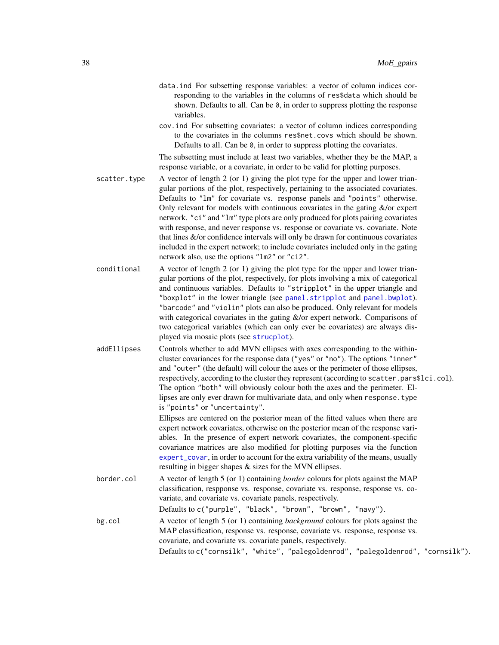- <span id="page-37-0"></span>data.ind For subsetting response variables: a vector of column indices corresponding to the variables in the columns of res\$data which should be shown. Defaults to all. Can be 0, in order to suppress plotting the response variables.
- cov.ind For subsetting covariates: a vector of column indices corresponding to the covariates in the columns res\$net.covs which should be shown. Defaults to all. Can be 0, in order to suppress plotting the covariates.

The subsetting must include at least two variables, whether they be the MAP, a response variable, or a covariate, in order to be valid for plotting purposes.

- scatter.type A vector of length 2 (or 1) giving the plot type for the upper and lower triangular portions of the plot, respectively, pertaining to the associated covariates. Defaults to "lm" for covariate vs. response panels and "points" otherwise. Only relevant for models with continuous covariates in the gating &/or expert network. "ci" and "lm" type plots are only produced for plots pairing covariates with response, and never response vs. response or covariate vs. covariate. Note that lines &/or confidence intervals will only be drawn for continuous covariates included in the expert network; to include covariates included only in the gating network also, use the options "lm2" or "ci2".
- conditional A vector of length  $2$  (or 1) giving the plot type for the upper and lower triangular portions of the plot, respectively, for plots involving a mix of categorical and continuous variables. Defaults to "stripplot" in the upper triangle and "boxplot" in the lower triangle (see [panel.stripplot](#page-0-0) and [panel.bwplot](#page-0-0)). "barcode" and "violin" plots can also be produced. Only relevant for models with categorical covariates in the gating &/or expert network. Comparisons of two categorical variables (which can only ever be covariates) are always displayed via mosaic plots (see [strucplot](#page-0-0)).
- addEllipses Controls whether to add MVN ellipses with axes corresponding to the withincluster covariances for the response data ("yes" or "no"). The options "inner" and "outer" (the default) will colour the axes or the perimeter of those ellipses, respectively, according to the cluster they represent (according to scatter.pars\$lci.col). The option "both" will obviously colour both the axes and the perimeter. Ellipses are only ever drawn for multivariate data, and only when response.type is "points" or "uncertainty".

Ellipses are centered on the posterior mean of the fitted values when there are expert network covariates, otherwise on the posterior mean of the response variables. In the presence of expert network covariates, the component-specific covariance matrices are also modified for plotting purposes via the function [expert\\_covar](#page-11-1), in order to account for the extra variability of the means, usually resulting in bigger shapes & sizes for the MVN ellipses.

- border.col A vector of length 5 (or 1) containing *border* colours for plots against the MAP classification, respponse vs. response, covariate vs. response, response vs. covariate, and covariate vs. covariate panels, respectively. Defaults to c("purple", "black", "brown", "brown", "navy").
- bg.col A vector of length 5 (or 1) containing *background* colours for plots against the MAP classification, response vs. response, covariate vs. response, response vs. covariate, and covariate vs. covariate panels, respectively. Defaults to c("cornsilk", "white", "palegoldenrod", "palegoldenrod", "cornsilk").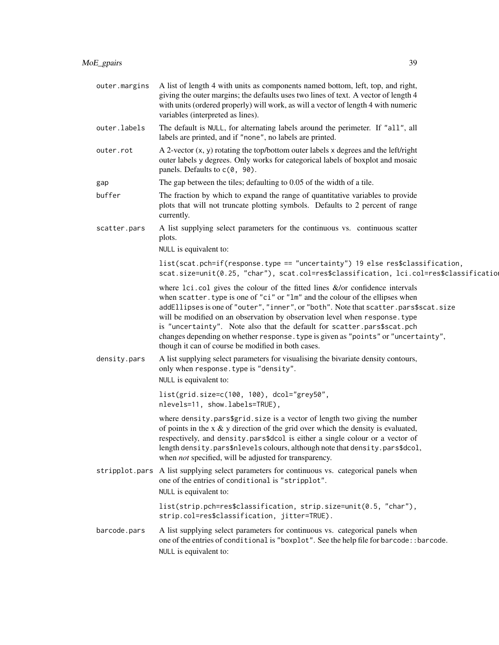| outer.margins | A list of length 4 with units as components named bottom, left, top, and right,<br>giving the outer margins; the defaults uses two lines of text. A vector of length 4<br>with units (ordered properly) will work, as will a vector of length 4 with numeric<br>variables (interpreted as lines).                                                                                                                                                                                                                                                                 |
|---------------|-------------------------------------------------------------------------------------------------------------------------------------------------------------------------------------------------------------------------------------------------------------------------------------------------------------------------------------------------------------------------------------------------------------------------------------------------------------------------------------------------------------------------------------------------------------------|
| outer.labels  | The default is NULL, for alternating labels around the perimeter. If "all", all<br>labels are printed, and if "none", no labels are printed.                                                                                                                                                                                                                                                                                                                                                                                                                      |
| outer.rot     | A 2-vector $(x, y)$ rotating the top/bottom outer labels x degrees and the left/right<br>outer labels y degrees. Only works for categorical labels of boxplot and mosaic<br>panels. Defaults to c(0, 90).                                                                                                                                                                                                                                                                                                                                                         |
| gap           | The gap between the tiles; defaulting to 0.05 of the width of a tile.                                                                                                                                                                                                                                                                                                                                                                                                                                                                                             |
| buffer        | The fraction by which to expand the range of quantitative variables to provide<br>plots that will not truncate plotting symbols. Defaults to 2 percent of range<br>currently.                                                                                                                                                                                                                                                                                                                                                                                     |
| scatter.pars  | A list supplying select parameters for the continuous vs. continuous scatter<br>plots.                                                                                                                                                                                                                                                                                                                                                                                                                                                                            |
|               | NULL is equivalent to:                                                                                                                                                                                                                                                                                                                                                                                                                                                                                                                                            |
|               | list(scat.pch=if(response.type == "uncertainty") 19 else res\$classification,<br>scat.size=unit(0.25, "char"), scat.col=res\$classification, lci.col=res\$classificatio                                                                                                                                                                                                                                                                                                                                                                                           |
|               | where $lci.col$ gives the colour of the fitted lines $\&/$ or confidence intervals<br>when scatter. type is one of "ci" or "lm" and the colour of the ellipses when<br>addEllipses is one of "outer", "inner", or "both". Note that scatter.pars\$scat.size<br>will be modified on an observation by observation level when response. type<br>is "uncertainty". Note also that the default for scatter.pars\$scat.pch<br>changes depending on whether response. type is given as "points" or "uncertainty",<br>though it can of course be modified in both cases. |
| density.pars  | A list supplying select parameters for visualising the bivariate density contours,<br>only when response. type is "density".<br>NULL is equivalent to:                                                                                                                                                                                                                                                                                                                                                                                                            |
|               | list(grid.size=c(100, 100), dcol="grey50",<br>nlevels=11, show.labels=TRUE),                                                                                                                                                                                                                                                                                                                                                                                                                                                                                      |
|               | where density.pars\$grid.size is a vector of length two giving the number<br>of points in the $x \& y$ direction of the grid over which the density is evaluated,<br>respectively, and density.pars\$dcol is either a single colour or a vector of<br>length density.pars\$nlevels colours, although note that density.pars\$dcol,<br>when <i>not</i> specified, will be adjusted for transparency.                                                                                                                                                               |
|               | stripplot pars A list supplying select parameters for continuous vs. categorical panels when<br>one of the entries of conditional is "stripplot".<br>NULL is equivalent to:                                                                                                                                                                                                                                                                                                                                                                                       |
|               | list(strip.pch=res\$classification, strip.size=unit(0.5, "char"),<br>strip.col=res\$classification, jitter=TRUE).                                                                                                                                                                                                                                                                                                                                                                                                                                                 |
| barcode.pars  | A list supplying select parameters for continuous vs. categorical panels when<br>one of the entries of conditional is "boxplot". See the help file for barcode: : barcode.<br>NULL is equivalent to:                                                                                                                                                                                                                                                                                                                                                              |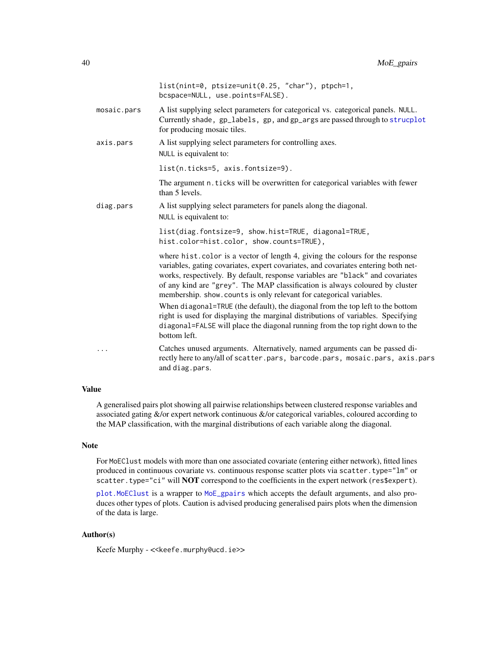<span id="page-39-0"></span>

|             | list(nint=0, ptsize=unit(0.25, "char"), ptpch=1,<br>bcspace=NULL, use.points=FALSE).                                                                                                                                                                                                                                                                                                                                                                                                            |
|-------------|-------------------------------------------------------------------------------------------------------------------------------------------------------------------------------------------------------------------------------------------------------------------------------------------------------------------------------------------------------------------------------------------------------------------------------------------------------------------------------------------------|
| mosaic.pars | A list supplying select parameters for categorical vs. categorical panels. NULL.<br>Currently shade, gp_labels, gp, and gp_args are passed through to strucplot<br>for producing mosaic tiles.                                                                                                                                                                                                                                                                                                  |
| axis.pars   | A list supplying select parameters for controlling axes.<br>NULL is equivalent to:                                                                                                                                                                                                                                                                                                                                                                                                              |
|             | list(n.ticks=5, axis.fontsize=9).                                                                                                                                                                                                                                                                                                                                                                                                                                                               |
|             | The argument n. ticks will be overwritten for categorical variables with fewer<br>than 5 levels.                                                                                                                                                                                                                                                                                                                                                                                                |
| diag.pars   | A list supplying select parameters for panels along the diagonal.<br>NULL is equivalent to:                                                                                                                                                                                                                                                                                                                                                                                                     |
|             | list(diag.fontsize=9, show.hist=TRUE, diagonal=TRUE,<br>hist.color=hist.color, show.counts=TRUE),                                                                                                                                                                                                                                                                                                                                                                                               |
|             | where hist.color is a vector of length 4, giving the colours for the response<br>variables, gating covariates, expert covariates, and covariates entering both net-<br>works, respectively. By default, response variables are "black" and covariates<br>of any kind are "grey". The MAP classification is always coloured by cluster<br>membership. show. counts is only relevant for categorical variables.<br>When diagonal=TRUE (the default), the diagonal from the top left to the bottom |
|             | right is used for displaying the marginal distributions of variables. Specifying<br>diagonal=FALSE will place the diagonal running from the top right down to the<br>bottom left.                                                                                                                                                                                                                                                                                                               |
| $\cdots$    | Catches unused arguments. Alternatively, named arguments can be passed di-<br>rectly here to any/all of scatter.pars, barcode.pars, mosaic.pars, axis.par                                                                                                                                                                                                                                                                                                                                       |

rectly here to any/all of scatter.pars, barcode.pars, mosaic.pars, axis.pars and diag.pars.

### Value

A generalised pairs plot showing all pairwise relationships between clustered response variables and associated gating &/or expert network continuous &/or categorical variables, coloured according to the MAP classification, with the marginal distributions of each variable along the diagonal.

### Note

For MoEClust models with more than one associated covariate (entering either network), fitted lines produced in continuous covariate vs. continuous response scatter plots via scatter.type="lm" or scatter.type="ci" will NOT correspond to the coefficients in the expert network (res\$expert).

[plot.MoEClust](#page-48-1) is a wrapper to [MoE\\_gpairs](#page-35-1) which accepts the default arguments, and also produces other types of plots. Caution is advised producing generalised pairs plots when the dimension of the data is large.

### Author(s)

Keefe Murphy - << keefe.murphy@ucd.ie>>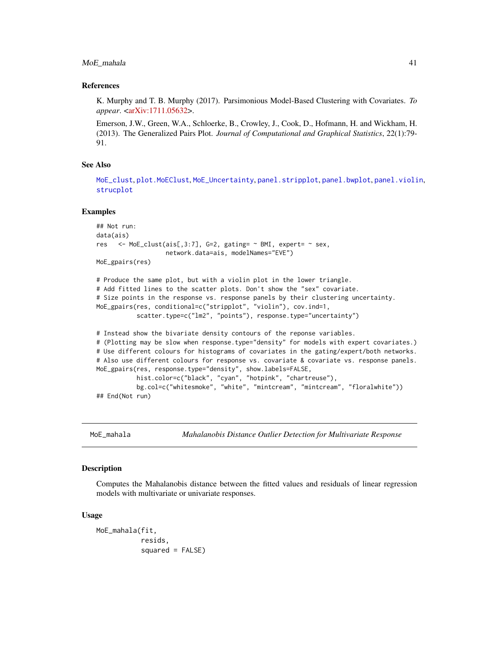<span id="page-40-0"></span>MoE\_mahala 41

#### References

K. Murphy and T. B. Murphy (2017). Parsimonious Model-Based Clustering with Covariates. *To appear*. [<arXiv:1711.05632>](https://arxiv.org/abs/1711.05632).

Emerson, J.W., Green, W.A., Schloerke, B., Crowley, J., Cook, D., Hofmann, H. and Wickham, H. (2013). The Generalized Pairs Plot. *Journal of Computational and Graphical Statistics*, 22(1):79- 91.

#### See Also

[MoE\\_clust](#page-13-1), [plot.MoEClust](#page-48-1), [MoE\\_Uncertainty](#page-45-1), [panel.stripplot](#page-0-0), [panel.bwplot](#page-0-0), [panel.violin](#page-0-0), [strucplot](#page-0-0)

#### Examples

```
## Not run:
data(ais)
res <- MoE_clust(ais[,3:7], G=2, gating= ~ BMI, expert= ~ sex,
                   network.data=ais, modelNames="EVE")
MoE_gpairs(res)
# Produce the same plot, but with a violin plot in the lower triangle.
# Add fitted lines to the scatter plots. Don't show the "sex" covariate.
# Size points in the response vs. response panels by their clustering uncertainty.
MoE_gpairs(res, conditional=c("stripplot", "violin"), cov.ind=1,
           scatter.type=c("lm2", "points"), response.type="uncertainty")
# Instead show the bivariate density contours of the reponse variables.
# (Plotting may be slow when response.type="density" for models with expert covariates.)
# Use different colours for histograms of covariates in the gating/expert/both networks.
# Also use different colours for response vs. covariate & covariate vs. response panels.
MoE_gpairs(res, response.type="density", show.labels=FALSE,
           hist.color=c("black", "cyan", "hotpink", "chartreuse"),
           bg.col=c("whitesmoke", "white", "mintcream", "mintcream", "floralwhite"))
## End(Not run)
```
MoE\_mahala *Mahalanobis Distance Outlier Detection for Multivariate Response*

#### Description

Computes the Mahalanobis distance between the fitted values and residuals of linear regression models with multivariate or univariate responses.

#### Usage

MoE\_mahala(fit, resids, squared = FALSE)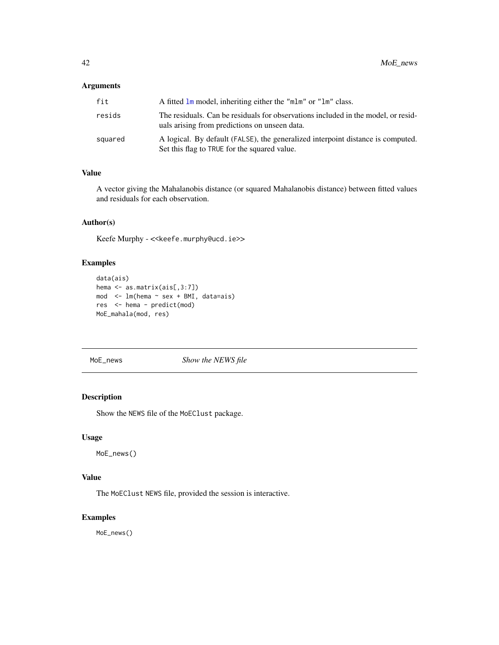### <span id="page-41-0"></span>Arguments

| fit     | A fitted 1m model, inheriting either the "m1m" or "1m" class.                                                                      |
|---------|------------------------------------------------------------------------------------------------------------------------------------|
| resids  | The residuals. Can be residuals for observations included in the model, or resid-<br>uals arising from predictions on unseen data. |
| squared | A logical. By default (FALSE), the generalized interpoint distance is computed.<br>Set this flag to TRUE for the squared value.    |

### Value

A vector giving the Mahalanobis distance (or squared Mahalanobis distance) between fitted values and residuals for each observation.

### Author(s)

Keefe Murphy - << keefe.murphy@ucd.ie>>

### Examples

```
data(ais)
hema <- as.matrix(ais[,3:7])
mod <- lm(hema ~ sex + BMI, data=ais)
res <- hema - predict(mod)
MoE_mahala(mod, res)
```
MoE\_news *Show the NEWS file*

#### Description

Show the NEWS file of the MoEClust package.

### Usage

MoE\_news()

### Value

The MoEClust NEWS file, provided the session is interactive.

### Examples

MoE\_news()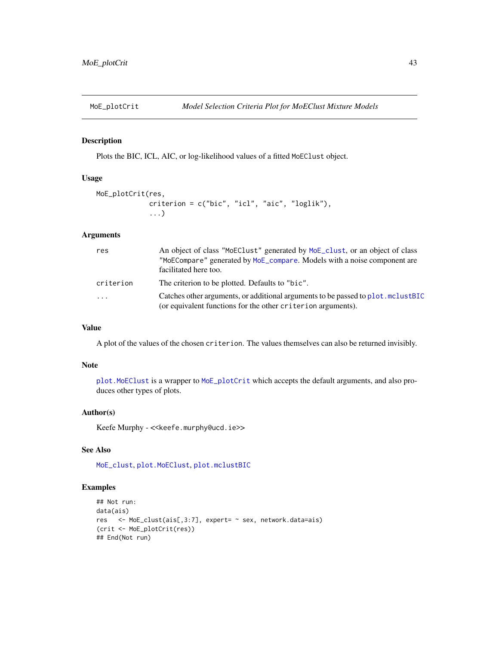<span id="page-42-1"></span><span id="page-42-0"></span>

### Description

Plots the BIC, ICL, AIC, or log-likelihood values of a fitted MoEClust object.

### Usage

```
MoE_plotCrit(res,
             criterion = c("bic", "icl", "aic", "loglik"),
             ...)
```
### Arguments

| res       | An object of class "MoEClust" generated by MoE_clust, or an object of class<br>"MoECompare" generated by MoE_compare. Models with a noise component are<br>facilitated here too. |  |
|-----------|----------------------------------------------------------------------------------------------------------------------------------------------------------------------------------|--|
| criterion | The criterion to be plotted. Defaults to "bic".                                                                                                                                  |  |
| .         | Catches other arguments, or additional arguments to be passed to plot. mclustBIC<br>(or equivalent functions for the other criterion arguments).                                 |  |

### Value

A plot of the values of the chosen criterion. The values themselves can also be returned invisibly.

#### Note

[plot.MoEClust](#page-48-1) is a wrapper to [MoE\\_plotCrit](#page-42-1) which accepts the default arguments, and also produces other types of plots.

### Author(s)

Keefe Murphy - << keefe.murphy@ucd.ie>>

### See Also

[MoE\\_clust](#page-13-1), [plot.MoEClust](#page-48-1), [plot.mclustBIC](#page-0-0)

```
## Not run:
data(ais)
res <- MoE_clust(ais[,3:7], expert= ~ sex, network.data=ais)
(crit <- MoE_plotCrit(res))
## End(Not run)
```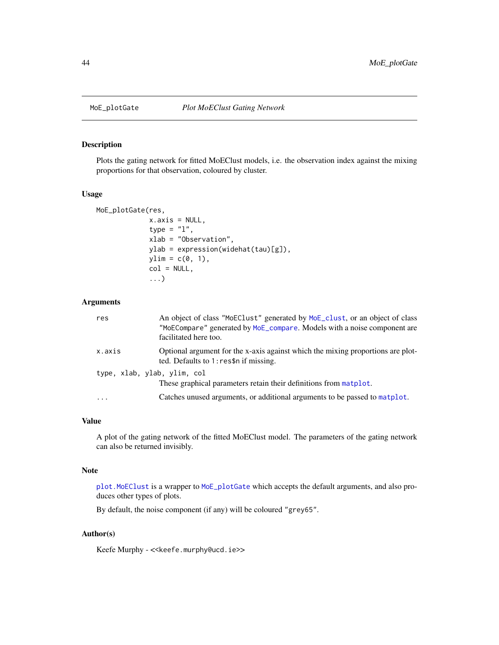<span id="page-43-1"></span><span id="page-43-0"></span>

### Description

Plots the gating network for fitted MoEClust models, i.e. the observation index against the mixing proportions for that observation, coloured by cluster.

#### Usage

```
MoE_plotGate(res,
             x.axis = NULL,
             type = "1",xlab = "Observation",
             ylab = expression(widehat(tau)[g]),
             ylim = c(0, 1),col = NULL,...)
```
### Arguments

| res                         | An object of class "MoEClust" generated by MoE_clust, or an object of class<br>"MoECompare" generated by MoE_compare. Models with a noise component are<br>facilitated here too. |
|-----------------------------|----------------------------------------------------------------------------------------------------------------------------------------------------------------------------------|
| x.axis                      | Optional argument for the x-axis against which the mixing proportions are plot-<br>ted. Defaults to 1: res\$n if missing.                                                        |
| type, xlab, ylab, ylim, col | These graphical parameters retain their definitions from matplot.                                                                                                                |
| $\cdots$                    | Catches unused arguments, or additional arguments to be passed to matplot.                                                                                                       |

### Value

A plot of the gating network of the fitted MoEClust model. The parameters of the gating network can also be returned invisibly.

#### Note

[plot.MoEClust](#page-48-1) is a wrapper to [MoE\\_plotGate](#page-43-1) which accepts the default arguments, and also produces other types of plots.

By default, the noise component (if any) will be coloured "grey65".

### Author(s)

Keefe Murphy - << keefe.murphy@ucd.ie>>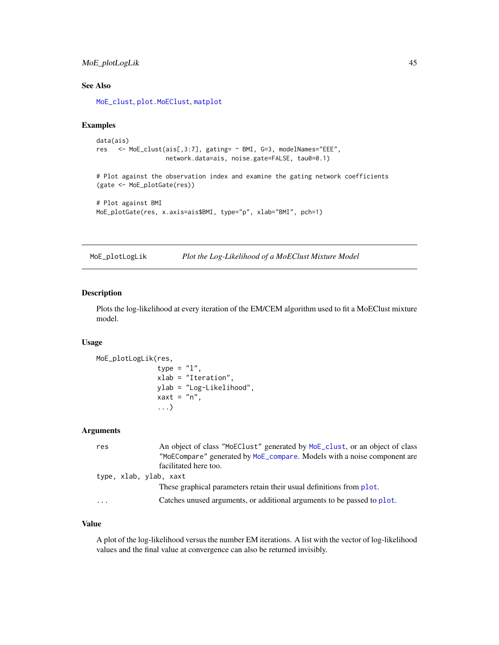### <span id="page-44-0"></span>MoE\_plotLogLik 45

### See Also

[MoE\\_clust](#page-13-1), [plot.MoEClust](#page-48-1), [matplot](#page-0-0)

### Examples

```
data(ais)
res <- MoE_clust(ais[,3:7], gating= ~ BMI, G=3, modelNames="EEE",
                  network.data=ais, noise.gate=FALSE, tau0=0.1)
```
# Plot against the observation index and examine the gating network coefficients (gate <- MoE\_plotGate(res))

```
# Plot against BMI
MoE_plotGate(res, x.axis=ais$BMI, type="p", xlab="BMI", pch=1)
```
<span id="page-44-1"></span>MoE\_plotLogLik *Plot the Log-Likelihood of a MoEClust Mixture Model*

#### Description

Plots the log-likelihood at every iteration of the EM/CEM algorithm used to fit a MoEClust mixture model.

### Usage

```
MoE_plotLogLik(res,
               type = "1",xlab = "Iteration",
               ylab = "Log-Likelihood",
               xaxt = "n",...)
```
### Arguments

| res | An object of class "MoEClust" generated by MoE_clust, or an object of class |
|-----|-----------------------------------------------------------------------------|
|     | "MoECompare" generated by MoE_compare. Models with a noise component are    |
|     | facilitated here too.                                                       |
|     | type, xlab, ylab, xaxt                                                      |
|     | These graphical parameters retain their usual definitions from plot.        |
| .   | Catches unused arguments, or additional arguments to be passed to plot.     |

### Value

A plot of the log-likelihood versus the number EM iterations. A list with the vector of log-likelihood values and the final value at convergence can also be returned invisibly.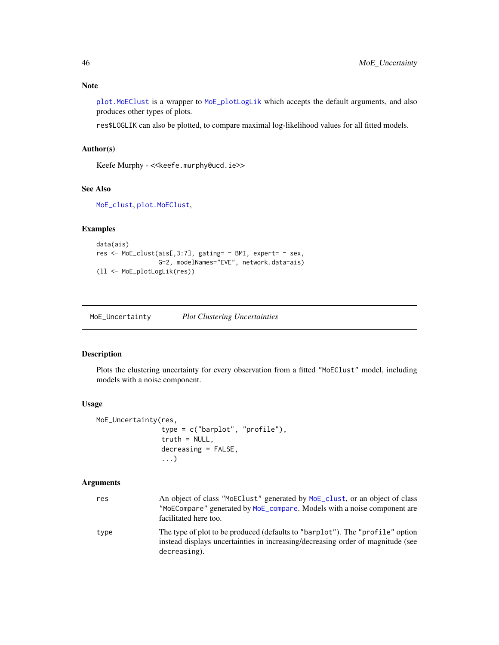### <span id="page-45-0"></span>Note

[plot.MoEClust](#page-48-1) is a wrapper to [MoE\\_plotLogLik](#page-44-1) which accepts the default arguments, and also produces other types of plots.

res\$LOGLIK can also be plotted, to compare maximal log-likelihood values for all fitted models.

### Author(s)

Keefe Murphy - << keefe.murphy@ucd.ie>>

#### See Also

[MoE\\_clust](#page-13-1), [plot.MoEClust](#page-48-1),

### Examples

```
data(ais)
res <- MoE_clust(ais[,3:7], gating= ~ BMI, expert= ~ sex,
                 G=2, modelNames="EVE", network.data=ais)
(ll <- MoE_plotLogLik(res))
```
<span id="page-45-1"></span>MoE\_Uncertainty *Plot Clustering Uncertainties*

### Description

Plots the clustering uncertainty for every observation from a fitted "MoEClust" model, including models with a noise component.

### Usage

```
MoE_Uncertainty(res,
                type = c("barplot", "profile"),
                truth = NULL,
                decreasing = FALSE,
                ...)
```
### Arguments

| res  | An object of class "MoEClust" generated by MoE_clust, or an object of class<br>"MoECompare" generated by MoE_compare. Models with a noise component are<br>facilitated here too. |
|------|----------------------------------------------------------------------------------------------------------------------------------------------------------------------------------|
| type | The type of plot to be produced (defaults to "barplot"). The "profile" option<br>instead displays uncertainties in increasing/decreasing order of magnitude (see<br>decreasing). |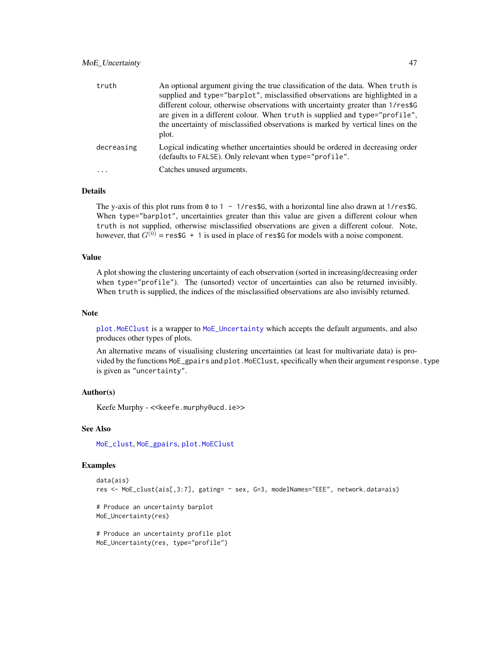### <span id="page-46-0"></span>MoE\_Uncertainty 47

| truth      | An optional argument giving the true classification of the data. When truth is<br>supplied and type="barplot", misclassified observations are highlighted in a<br>different colour, otherwise observations with uncertainty greater than 1/res\$G<br>are given in a different colour. When truth is supplied and type="profile",<br>the uncertainty of misclassified observations is marked by vertical lines on the<br>plot. |  |
|------------|-------------------------------------------------------------------------------------------------------------------------------------------------------------------------------------------------------------------------------------------------------------------------------------------------------------------------------------------------------------------------------------------------------------------------------|--|
| decreasing | Logical indicating whether uncertainties should be ordered in decreasing order<br>(defaults to FALSE). Only relevant when type="profile".                                                                                                                                                                                                                                                                                     |  |
|            | Catches unused arguments.                                                                                                                                                                                                                                                                                                                                                                                                     |  |

#### Details

The y-axis of this plot runs from 0 to  $1 - 1$ /res\$G, with a horizontal line also drawn at  $1$ /res\$G. When type="barplot", uncertainties greater than this value are given a different colour when truth is not supplied, otherwise misclassified observations are given a different colour. Note, however, that  $G^{(0)}$  = res\$G + 1 is used in place of res\$G for models with a noise component.

### Value

A plot showing the clustering uncertainty of each observation (sorted in increasing/decreasing order when type="profile"). The (unsorted) vector of uncertainties can also be returned invisibly. When truth is supplied, the indices of the misclassified observations are also invisibly returned.

#### Note

[plot.MoEClust](#page-48-1) is a wrapper to [MoE\\_Uncertainty](#page-45-1) which accepts the default arguments, and also produces other types of plots.

An alternative means of visualising clustering uncertainties (at least for multivariate data) is provided by the functions MoE\_gpairs and plot.MoEClust, specifically when their argument response.type is given as "uncertainty".

#### Author(s)

Keefe Murphy - << keefe.murphy@ucd.ie>>

#### See Also

[MoE\\_clust](#page-13-1), [MoE\\_gpairs](#page-35-1), [plot.MoEClust](#page-48-1)

```
data(ais)
res <- MoE_clust(ais[,3:7], gating= ~ sex, G=3, modelNames="EEE", network.data=ais)
# Produce an uncertainty barplot
MoE_Uncertainty(res)
# Produce an uncertainty profile plot
```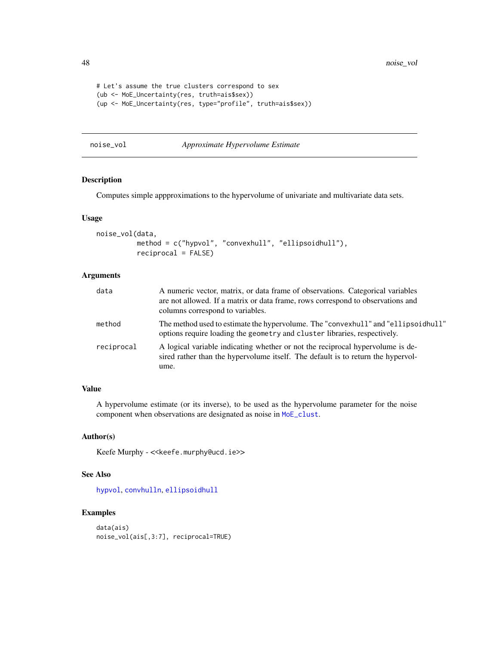```
# Let's assume the true clusters correspond to sex
(ub <- MoE_Uncertainty(res, truth=ais$sex))
(up <- MoE_Uncertainty(res, type="profile", truth=ais$sex))
```
#### noise\_vol *Approximate Hypervolume Estimate*

### Description

Computes simple appproximations to the hypervolume of univariate and multivariate data sets.

#### Usage

```
noise_vol(data,
          method = c("hypvol", "convexhull", "ellipsoidhull"),
          reciprocal = FALSE)
```
### Arguments

| data       | A numeric vector, matrix, or data frame of observations. Categorical variables<br>are not allowed. If a matrix or data frame, rows correspond to observations and<br>columns correspond to variables. |
|------------|-------------------------------------------------------------------------------------------------------------------------------------------------------------------------------------------------------|
| method     | The method used to estimate the hypervolume. The "convexhull" and "ellipsoid hull"<br>options require loading the geometry and cluster libraries, respectively.                                       |
| reciprocal | A logical variable indicating whether or not the reciprocal hypervolume is de-<br>sired rather than the hypervolume itself. The default is to return the hypervol-<br>ume.                            |

#### Value

A hypervolume estimate (or its inverse), to be used as the hypervolume parameter for the noise component when observations are designated as noise in [MoE\\_clust](#page-13-1).

#### Author(s)

Keefe Murphy - << keefe.murphy@ucd.ie>>

### See Also

[hypvol](#page-0-0), [convhulln](#page-0-0), [ellipsoidhull](#page-0-0)

```
data(ais)
noise_vol(ais[,3:7], reciprocal=TRUE)
```
<span id="page-47-0"></span>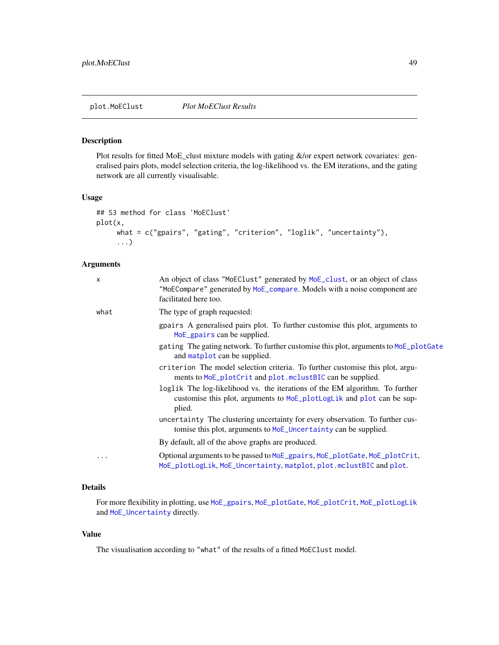### <span id="page-48-1"></span><span id="page-48-0"></span>Description

Plot results for fitted MoE\_clust mixture models with gating &/or expert network covariates: generalised pairs plots, model selection criteria, the log-likelihood vs. the EM iterations, and the gating network are all currently visualisable.

### Usage

```
## S3 method for class 'MoEClust'
plot(x,
     what = c("gpairs", "gating", "criterion", "loglik", "uncertainty"),
     ...)
```
### Arguments

| x        | An object of class "MoEClust" generated by MoE_clust, or an object of class<br>"MoECompare" generated by MoE_compare. Models with a noise component are<br>facilitated here too. |
|----------|----------------------------------------------------------------------------------------------------------------------------------------------------------------------------------|
| what     | The type of graph requested:                                                                                                                                                     |
|          | gpairs A generalised pairs plot. To further customise this plot, arguments to<br>MoE_gpairs can be supplied.                                                                     |
|          | gating The gating network. To further customise this plot, arguments to MoE_plotGate<br>and matplot can be supplied.                                                             |
|          | criterion The model selection criteria. To further customise this plot, argu-<br>ments to MoE_plotCrit and plot.mclustBIC can be supplied.                                       |
|          | loglik The log-likelihood vs. the iterations of the EM algorithm. To further<br>customise this plot, arguments to MoE_plotLogLik and plot can be sup-<br>plied.                  |
|          | uncertainty The clustering uncertainty for every observation. To further cus-<br>tomise this plot, arguments to MoE_Uncertainty can be supplied.                                 |
|          | By default, all of the above graphs are produced.                                                                                                                                |
| $\cdots$ | Optional arguments to be passed to MoE_gpairs, MoE_plotGate, MoE_plotCrit,<br>MoE_plotLogLik, MoE_Uncertainty, matplot, plot.mclustBIC and plot.                                 |
|          |                                                                                                                                                                                  |

### Details

For more flexibility in plotting, use [MoE\\_gpairs](#page-35-1), [MoE\\_plotGate](#page-43-1), [MoE\\_plotCrit](#page-42-1), [MoE\\_plotLogLik](#page-44-1) and [MoE\\_Uncertainty](#page-45-1) directly.

### Value

The visualisation according to "what" of the results of a fitted MoEClust model.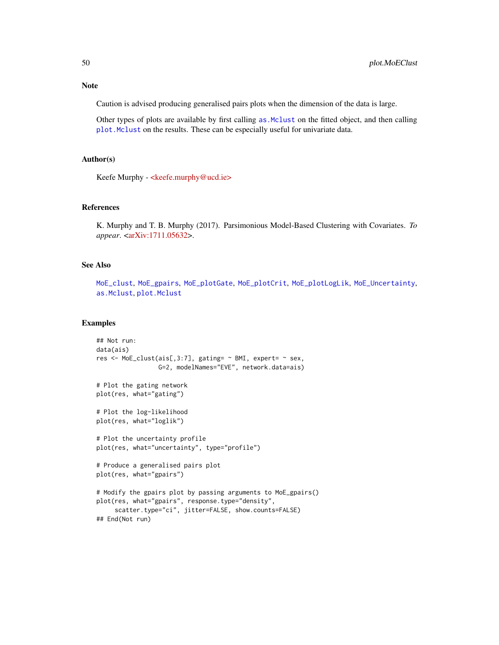### <span id="page-49-0"></span>Note

Caution is advised producing generalised pairs plots when the dimension of the data is large.

Other types of plots are available by first calling [as.Mclust](#page-6-1) on the fitted object, and then calling [plot.Mclust](#page-0-0) on the results. These can be especially useful for univariate data.

### Author(s)

Keefe Murphy - [<keefe.murphy@ucd.ie>](keefe.murphy@ucd.ie)

### References

K. Murphy and T. B. Murphy (2017). Parsimonious Model-Based Clustering with Covariates. *To appear*. [<arXiv:1711.05632>](https://arxiv.org/abs/1711.05632).

### See Also

[MoE\\_clust](#page-13-1), [MoE\\_gpairs](#page-35-1), [MoE\\_plotGate](#page-43-1), [MoE\\_plotCrit](#page-42-1), [MoE\\_plotLogLik](#page-44-1), [MoE\\_Uncertainty](#page-45-1), [as.Mclust](#page-6-1), [plot.Mclust](#page-0-0)

```
## Not run:
data(ais)
res <- MoE_clust(ais[,3:7], gating= ~ BMI, expert= ~ sex,
                 G=2, modelNames="EVE", network.data=ais)
# Plot the gating network
plot(res, what="gating")
# Plot the log-likelihood
plot(res, what="loglik")
# Plot the uncertainty profile
plot(res, what="uncertainty", type="profile")
# Produce a generalised pairs plot
plot(res, what="gpairs")
# Modify the gpairs plot by passing arguments to MoE_gpairs()
plot(res, what="gpairs", response.type="density",
     scatter.type="ci", jitter=FALSE, show.counts=FALSE)
## End(Not run)
```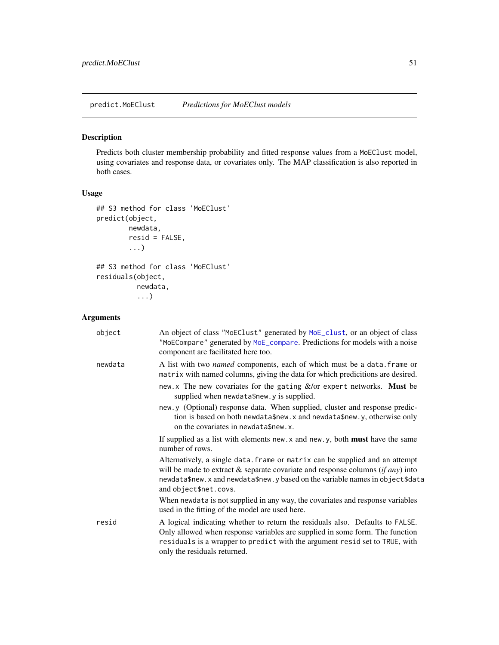<span id="page-50-1"></span><span id="page-50-0"></span>predict.MoEClust *Predictions for MoEClust models*

### Description

Predicts both cluster membership probability and fitted response values from a MoEClust model, using covariates and response data, or covariates only. The MAP classification is also reported in both cases.

### Usage

```
## S3 method for class 'MoEClust'
predict(object,
        newdata,
        resid = FALSE,
        ...)
## S3 method for class 'MoEClust'
residuals(object,
          newdata,
          ...)
```
### Arguments

| object  | An object of class "MoEClust" generated by MoE_clust, or an object of class<br>"MoECompare" generated by MoE_compare. Predictions for models with a noise<br>component are facilitated here too.                                                                                      |  |
|---------|---------------------------------------------------------------------------------------------------------------------------------------------------------------------------------------------------------------------------------------------------------------------------------------|--|
| newdata | A list with two <i>named</i> components, each of which must be a data. frame or<br>matrix with named columns, giving the data for which predicitions are desired.                                                                                                                     |  |
|         | new.x The new covariates for the gating $\&$ /or expert networks. Must be<br>supplied when newdata\$new.y is supplied.                                                                                                                                                                |  |
|         | new.y (Optional) response data. When supplied, cluster and response predic-<br>tion is based on both newdata\$new.x and newdata\$new.y, otherwise only<br>on the covariates in newdata\$new.x.                                                                                        |  |
|         | If supplied as a list with elements $new.x$ and $new.y$ , both <b>must</b> have the same<br>number of rows.                                                                                                                                                                           |  |
|         | Alternatively, a single data. frame or matrix can be supplied and an attempt<br>will be made to extract $\&$ separate covariate and response columns ( <i>if any</i> ) into<br>newdata\$new.x and newdata\$new.y based on the variable names in object\$data<br>and object\$net.covs. |  |
|         | When newdata is not supplied in any way, the covariates and response variables<br>used in the fitting of the model are used here.                                                                                                                                                     |  |
| resid   | A logical indicating whether to return the residuals also. Defaults to FALSE.<br>Only allowed when response variables are supplied in some form. The function<br>residuals is a wrapper to predict with the argument resid set to TRUE, with<br>only the residuals returned.          |  |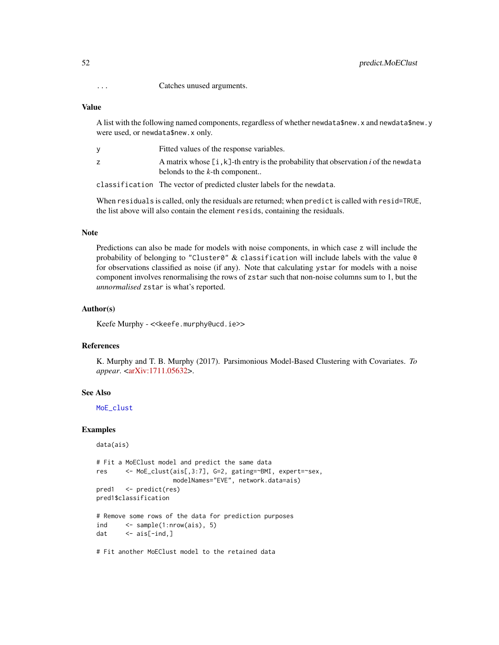<span id="page-51-0"></span>... Catches unused arguments.

#### Value

A list with the following named components, regardless of whether newdata\$new.x and newdata\$new.y were used, or newdata\$new.x only.

| Fitted values of the response variables.                                               |
|----------------------------------------------------------------------------------------|
| A matrix whose $[i, k]$ -th entry is the probability that observation i of the newdata |
| belonds to the $k$ -th component                                                       |
| close if ignition. The vector of predicted cluster labels for the novidate             |

classification The vector of predicted cluster labels for the newdata.

When residuals is called, only the residuals are returned; when predict is called with resid=TRUE, the list above will also contain the element resids, containing the residuals.

### Note

Predictions can also be made for models with noise components, in which case z will include the probability of belonging to "Cluster0"  $&$  classification will include labels with the value  $0$ for observations classified as noise (if any). Note that calculating ystar for models with a noise component involves renormalising the rows of zstar such that non-noise columns sum to 1, but the *unnormalised* zstar is what's reported.

#### Author(s)

Keefe Murphy - << keefe.murphy@ucd.ie>>

#### References

K. Murphy and T. B. Murphy (2017). Parsimonious Model-Based Clustering with Covariates. *To appear*. [<arXiv:1711.05632>](https://arxiv.org/abs/1711.05632).

#### See Also

[MoE\\_clust](#page-13-1)

```
data(ais)
```

```
# Fit a MoEClust model and predict the same data
res <- MoE_clust(ais[,3:7], G=2, gating=~BMI, expert=~sex,
                    modelNames="EVE", network.data=ais)
pred1 <- predict(res)
pred1$classification
# Remove some rows of the data for prediction purposes
ind <- sample(1:nrow(ais), 5)
dat \leftarrow ais[-ind,]
# Fit another MoEClust model to the retained data
```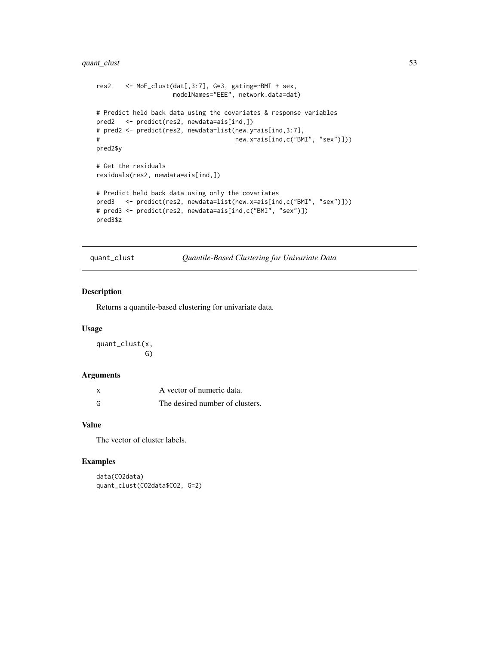### <span id="page-52-0"></span>quant\_clust 53

```
res2 <- MoE_clust(dat[,3:7], G=3, gating=~BMI + sex,
                   modelNames="EEE", network.data=dat)
# Predict held back data using the covariates & response variables
pred2 <- predict(res2, newdata=ais[ind,])
# pred2 <- predict(res2, newdata=list(new.y=ais[ind,3:7],
# new.x=ais[ind,c("BMI", "sex")]))
pred2$y
# Get the residuals
residuals(res2, newdata=ais[ind,])
# Predict held back data using only the covariates
pred3 <- predict(res2, newdata=list(new.x=ais[ind,c("BMI", "sex")]))
# pred3 <- predict(res2, newdata=ais[ind,c("BMI", "sex")])
pred3$z
```
<span id="page-52-1"></span>quant\_clust *Quantile-Based Clustering for Univariate Data*

#### Description

Returns a quantile-based clustering for univariate data.

#### Usage

quant\_clust(x, G)

### Arguments

| X | A vector of numeric data.       |
|---|---------------------------------|
| G | The desired number of clusters. |

#### Value

The vector of cluster labels.

```
data(CO2data)
quant_clust(CO2data$CO2, G=2)
```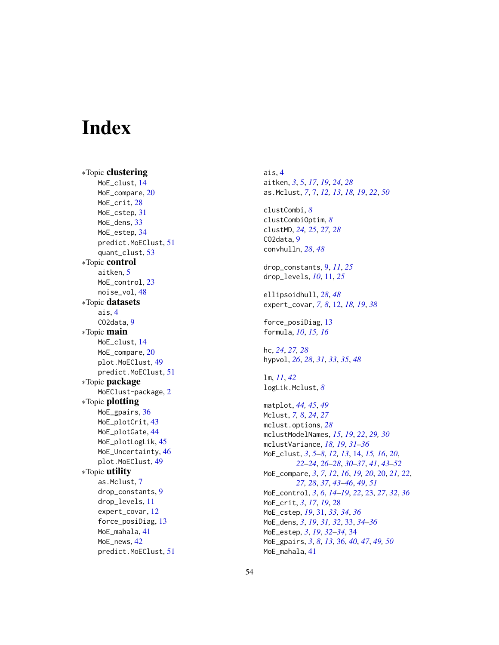# <span id="page-53-0"></span>**Index**

∗Topic clustering MoE\_clust , [14](#page-13-0) MoE\_compare, [20](#page-19-0) MoE\_crit,2<mark>8</mark> MoE\_cstep , [31](#page-30-0) MoE\_dens, [33](#page-32-0) MoE\_estep , [34](#page-33-0) predict.MoEClust , [51](#page-50-0) quant\_clust , [53](#page-52-0) ∗Topic control aitken, [5](#page-4-0) MoE\_control, [23](#page-22-0) noise\_vol , [48](#page-47-0) ∗Topic datasets ais , [4](#page-3-0) CO<sub>2</sub>data, [9](#page-8-0) ∗Topic main MoE\_clust , [14](#page-13-0) MoE\_compare, [20](#page-19-0) plot.MoEClust , [49](#page-48-0) predict.MoEClust , [51](#page-50-0) ∗Topic package MoEClust-package , [2](#page-1-0) ∗Topic plotting MoE\_gpairs, [36](#page-35-0) MoE\_plotCrit, [43](#page-42-0) MoE\_plotGate, [44](#page-43-0) MoE\_plotLogLik, [45](#page-44-0) MoE\_Uncertainty, [46](#page-45-0) plot.MoEClust, [49](#page-48-0) ∗Topic utility as.Mclust , [7](#page-6-0) drop\_constants , [9](#page-8-0) drop\_levels , [11](#page-10-0) expert\_covar , [12](#page-11-0) force\_posiDiag , [13](#page-12-0) MoE\_mahala , [41](#page-40-0) MoE\_news, [42](#page-41-0) predict.MoEClust , [51](#page-50-0) ais , [4](#page-3-0) aitken , *[3](#page-2-0)* , [5](#page-4-0) , *[17](#page-16-0)* , *[19](#page-18-0)* , *[24](#page-23-0)* , *[28](#page-27-0)* as.Mclust , *[7](#page-6-0)* , [7](#page-6-0) , *[12](#page-11-0) , [13](#page-12-0)* , *[18](#page-17-0) , [19](#page-18-0)* , *[22](#page-21-0)* , *[50](#page-49-0)* clustCombi , *[8](#page-7-0)* clustCombiOptim , *[8](#page-7-0)* clustMD , *[24](#page-23-0) , [25](#page-24-0)* , *[27,](#page-26-0) [28](#page-27-0)* CO2data, [9](#page-8-0) convhulln , *[28](#page-27-0)* , *[48](#page-47-0)* drop\_constants , [9](#page-8-0) , *[11](#page-10-0)* , *[25](#page-24-0)* drop\_levels , *[10](#page-9-0)* , [11](#page-10-0) , *[25](#page-24-0)* ellipsoidhull , *[28](#page-27-0)* , *[48](#page-47-0)* expert\_covar , *[7,](#page-6-0) [8](#page-7-0)* , [12](#page-11-0) , *[18](#page-17-0) , [19](#page-18-0)* , *[38](#page-37-0)* force\_posiDiag , [13](#page-12-0) formula , *[10](#page-9-0)* , *[15](#page-14-0) , [16](#page-15-0)* hc , *[24](#page-23-0)* , *[27,](#page-26-0) [28](#page-27-0)* hypvol , *[26](#page-25-0)* , *[28](#page-27-0)* , *[31](#page-30-0)* , *[33](#page-32-0)* , *[35](#page-34-0)* , *[48](#page-47-0)* lm , *[11](#page-10-0)* , *[42](#page-41-0)* logLik.Mclust , *[8](#page-7-0)* matplot , *[44](#page-43-0) , [45](#page-44-0)* , *[49](#page-48-0)* Mclust , *[7,](#page-6-0) [8](#page-7-0)* , *[24](#page-23-0)* , *[27](#page-26-0)* mclust.options , *[28](#page-27-0)* mclustModelNames , *[15](#page-14-0)* , *[19](#page-18-0)* , *[22](#page-21-0)* , *[29](#page-28-0) , [30](#page-29-0)* mclustVariance , *[18](#page-17-0) , [19](#page-18-0)* , *[31](#page-30-0) [–36](#page-35-0)* MoE\_clust , *[3](#page-2-0)* , *[5](#page-4-0) – [8](#page-7-0)* , *[12](#page-11-0) , [13](#page-12-0)* , [14](#page-13-0) , *[15](#page-14-0) , [16](#page-15-0)* , *[20](#page-19-0)* , *[22](#page-21-0) [–24](#page-23-0)* , *[26](#page-25-0)[–28](#page-27-0)* , *[30](#page-29-0)[–37](#page-36-0)* , *[41](#page-40-0)* , *[43](#page-42-0) [–52](#page-51-0)* MoE\_compare , *[3](#page-2-0)* , *[7](#page-6-0)* , *[12](#page-11-0)* , *[16](#page-15-0)* , *[19](#page-18-0) , [20](#page-19-0)* , [20](#page-19-0) , *[21](#page-20-0) , [22](#page-21-0)* , *[27,](#page-26-0) [28](#page-27-0)* , *[37](#page-36-0)* , *[43](#page-42-0) [–46](#page-45-0)* , *[49](#page-48-0)* , *[51](#page-50-0)* MoE\_control , *[3](#page-2-0)* , *[6](#page-5-0)* , *[14](#page-13-0) [–19](#page-18-0)* , *[22](#page-21-0)* , [23](#page-22-0) , *[27](#page-26-0)* , *[32](#page-31-0)* , *[36](#page-35-0)* MoE\_crit , *[3](#page-2-0)* , *[17](#page-16-0)* , *[19](#page-18-0)* , [28](#page-27-0) MoE\_cstep , *[19](#page-18-0)* , [31](#page-30-0) , *[33](#page-32-0) , [34](#page-33-0)* , *[36](#page-35-0)* MoE\_dens , *[3](#page-2-0)* , *[19](#page-18-0)* , *[31](#page-30-0) , [32](#page-31-0)* , [33](#page-32-0) , *[34](#page-33-0) [–36](#page-35-0)* MoE\_estep , *[3](#page-2-0)* , *[19](#page-18-0)* , *[32](#page-31-0) [–34](#page-33-0)* , [34](#page-33-0) MoE\_gpairs , *[3](#page-2-0)* , *[8](#page-7-0)* , *[13](#page-12-0)* , [36](#page-35-0) , *[40](#page-39-0)* , *[47](#page-46-0)* , *[49](#page-48-0) , [50](#page-49-0)*

MoE\_mahala , [41](#page-40-0)